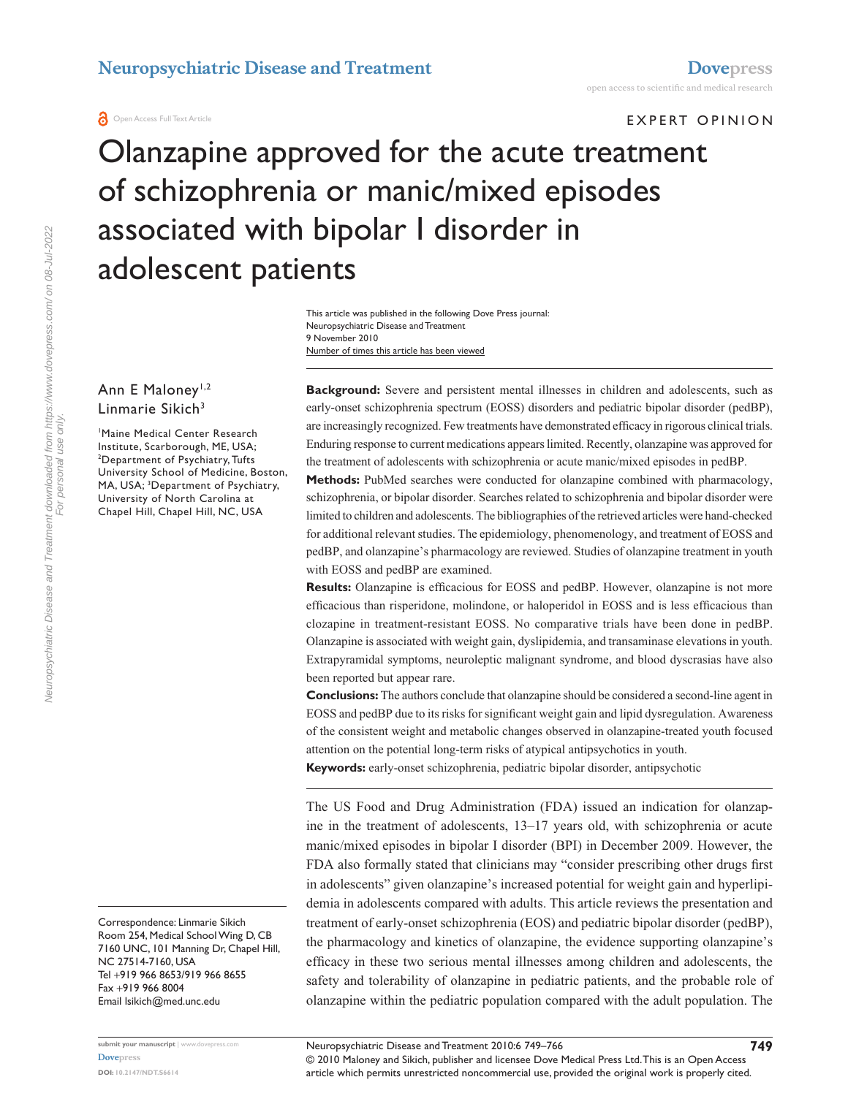**a** Open Access Full Text Article

**EXPERT OPINION** 

# Olanzapine approved for the acute treatment of schizophrenia or manic/mixed episodes associated with bipolar I disorder in adolescent patients

Number of times this article has been viewed This article was published in the following Dove Press journal: Neuropsychiatric Disease and Treatment 9 November 2010

## Ann E Maloney<sup>1,2</sup> Linmarie Sikich<sup>3</sup>

1 Maine Medical Center Research Institute, Scarborough, ME, USA; 2 Department of Psychiatry, Tufts University School of Medicine, Boston, MA, USA; 3 Department of Psychiatry, University of North Carolina at Chapel Hill, Chapel Hill, NC, USA

Correspondence: Linmarie Sikich Room 254, Medical School Wing D, CB 7160 UNC, 101 Manning Dr, Chapel Hill, NC 27514-7160, USA Tel +919 966 8653/919 966 8655 Fax +919 966 8004 Email [lsikich@med.unc.edu](mailto:lsikich@med.unc.edu)

**Background:** Severe and persistent mental illnesses in children and adolescents, such as early-onset schizophrenia spectrum (EOSS) disorders and pediatric bipolar disorder (pedBP), are increasingly recognized. Few treatments have demonstrated efficacy in rigorous clinical trials. Enduring response to current medications appears limited. Recently, olanzapine was approved for the treatment of adolescents with schizophrenia or acute manic/mixed episodes in pedBP.

**Methods:** PubMed searches were conducted for olanzapine combined with pharmacology, schizophrenia, or bipolar disorder. Searches related to schizophrenia and bipolar disorder were limited to children and adolescents. The bibliographies of the retrieved articles were hand-checked for additional relevant studies. The epidemiology, phenomenology, and treatment of EOSS and pedBP, and olanzapine's pharmacology are reviewed. Studies of olanzapine treatment in youth with EOSS and pedBP are examined.

**Results:** Olanzapine is efficacious for EOSS and pedBP. However, olanzapine is not more efficacious than risperidone, molindone, or haloperidol in EOSS and is less efficacious than clozapine in treatment-resistant EOSS. No comparative trials have been done in pedBP. Olanzapine is associated with weight gain, dyslipidemia, and transaminase elevations in youth. Extrapyramidal symptoms, neuroleptic malignant syndrome, and blood dyscrasias have also been reported but appear rare.

**Conclusions:** The authors conclude that olanzapine should be considered a second-line agent in EOSS and pedBP due to its risks for significant weight gain and lipid dysregulation. Awareness of the consistent weight and metabolic changes observed in olanzapine-treated youth focused attention on the potential long-term risks of atypical antipsychotics in youth.

**Keywords:** early-onset schizophrenia, pediatric bipolar disorder, antipsychotic

The US Food and Drug Administration (FDA) issued an indication for olanzapine in the treatment of adolescents, 13–17 years old, with schizophrenia or acute manic/mixed episodes in bipolar I disorder (BPI) in December 2009. However, the FDA also formally stated that clinicians may "consider prescribing other drugs first in adolescents" given olanzapine's increased potential for weight gain and hyperlipidemia in adolescents compared with adults. This article reviews the presentation and treatment of early-onset schizophrenia (EOS) and pediatric bipolar disorder (pedBP), the pharmacology and kinetics of olanzapine, the evidence supporting olanzapine's efficacy in these two serious mental illnesses among children and adolescents, the safety and tolerability of olanzapine in pediatric patients, and the probable role of olanzapine within the pediatric population compared with the adult population. The

**submit your manuscript** | <www.dovepress.com>

© 2010 Maloney and Sikich, publisher and licensee Dove Medical Press Ltd. This is an Open Access article which permits unrestricted noncommercial use, provided the original work is properly cited.

**749**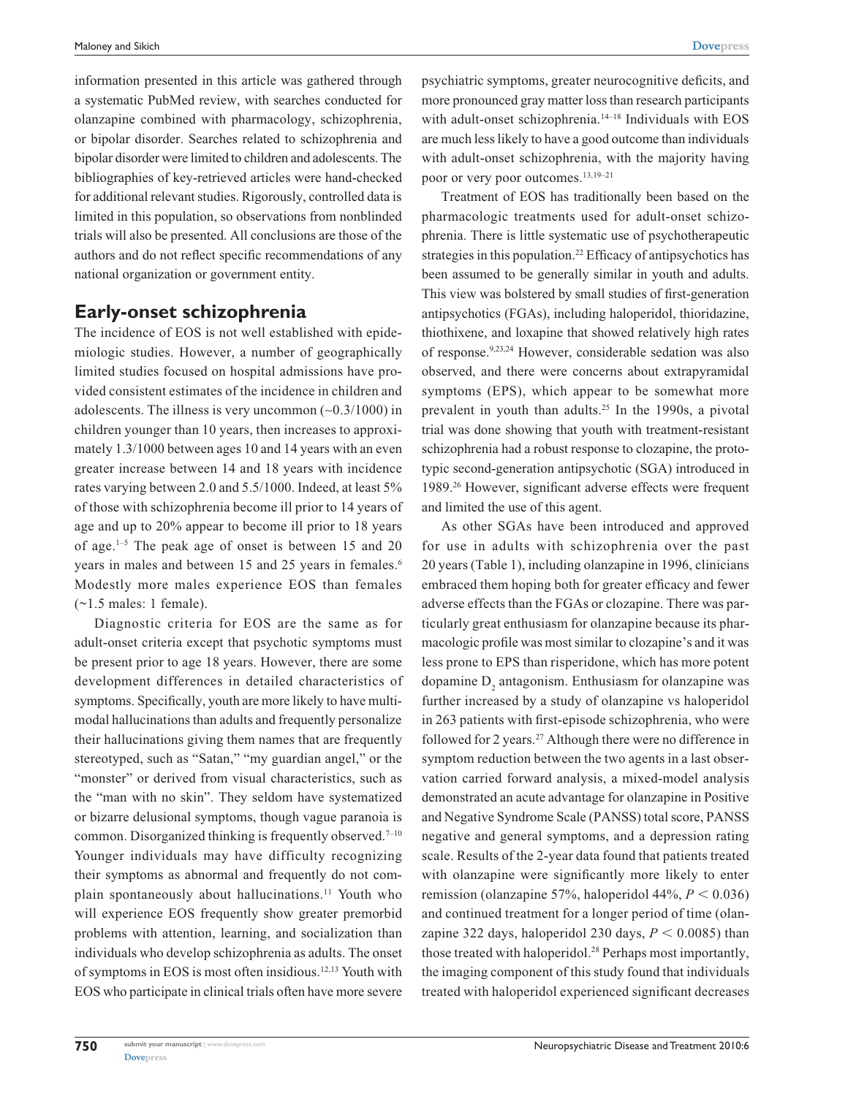information presented in this article was gathered through a systematic PubMed review, with searches conducted for olanzapine combined with pharmacology, schizophrenia, or bipolar disorder. Searches related to schizophrenia and bipolar disorder were limited to children and adolescents. The bibliographies of key-retrieved articles were hand-checked for additional relevant studies. Rigorously, controlled data is limited in this population, so observations from nonblinded trials will also be presented. All conclusions are those of the authors and do not reflect specific recommendations of any national organization or government entity.

# **Early-onset schizophrenia**

The incidence of EOS is not well established with epidemiologic studies. However, a number of geographically limited studies focused on hospital admissions have provided consistent estimates of the incidence in children and adolescents. The illness is very uncommon (∼0.3/1000) in children younger than 10 years, then increases to approximately 1.3/1000 between ages 10 and 14 years with an even greater increase between 14 and 18 years with incidence rates varying between 2.0 and 5.5/1000. Indeed, at least 5% of those with schizophrenia become ill prior to 14 years of age and up to 20% appear to become ill prior to 18 years of age.<sup>1–5</sup> The peak age of onset is between 15 and 20 years in males and between 15 and 25 years in females.<sup>6</sup> Modestly more males experience EOS than females  $(-1.5 \text{ males: } 1 \text{ female}).$ 

Diagnostic criteria for EOS are the same as for adult-onset criteria except that psychotic symptoms must be present prior to age 18 years. However, there are some development differences in detailed characteristics of symptoms. Specifically, youth are more likely to have multimodal hallucinations than adults and frequently personalize their hallucinations giving them names that are frequently stereotyped, such as "Satan," "my guardian angel," or the "monster" or derived from visual characteristics, such as the "man with no skin". They seldom have systematized or bizarre delusional symptoms, though vague paranoia is common. Disorganized thinking is frequently observed.<sup>7-10</sup> Younger individuals may have difficulty recognizing their symptoms as abnormal and frequently do not complain spontaneously about hallucinations.<sup>11</sup> Youth who will experience EOS frequently show greater premorbid problems with attention, learning, and socialization than individuals who develop schizophrenia as adults. The onset of symptoms in EOS is most often insidious.12,13 Youth with EOS who participate in clinical trials often have more severe psychiatric symptoms, greater neurocognitive deficits, and more pronounced gray matter loss than research participants with adult-onset schizophrenia.<sup>14-18</sup> Individuals with EOS are much less likely to have a good outcome than individuals with adult-onset schizophrenia, with the majority having poor or very poor outcomes.<sup>13,19-21</sup>

Treatment of EOS has traditionally been based on the pharmacologic treatments used for adult-onset schizophrenia. There is little systematic use of psychotherapeutic strategies in this population.<sup>22</sup> Efficacy of antipsychotics has been assumed to be generally similar in youth and adults. This view was bolstered by small studies of first-generation antipsychotics (FGAs), including haloperidol, thioridazine, thiothixene, and loxapine that showed relatively high rates of response.9,23,24 However, considerable sedation was also observed, and there were concerns about extrapyramidal symptoms (EPS), which appear to be somewhat more prevalent in youth than adults.25 In the 1990s, a pivotal trial was done showing that youth with treatment-resistant schizophrenia had a robust response to clozapine, the prototypic second-generation antipsychotic (SGA) introduced in 1989.26 However, significant adverse effects were frequent and limited the use of this agent.

As other SGAs have been introduced and approved for use in adults with schizophrenia over the past 20 years (Table 1), including olanzapine in 1996, clinicians embraced them hoping both for greater efficacy and fewer adverse effects than the FGAs or clozapine. There was particularly great enthusiasm for olanzapine because its pharmacologic profile was most similar to clozapine's and it was less prone to EPS than risperidone, which has more potent dopamine  $D_2$  antagonism. Enthusiasm for olanzapine was further increased by a study of olanzapine vs haloperidol in 263 patients with first-episode schizophrenia, who were followed for 2 years.<sup>27</sup> Although there were no difference in symptom reduction between the two agents in a last observation carried forward analysis, a mixed-model analysis demonstrated an acute advantage for olanzapine in Positive and Negative Syndrome Scale (PANSS) total score, PANSS negative and general symptoms, and a depression rating scale. Results of the 2-year data found that patients treated with olanzapine were significantly more likely to enter remission (olanzapine 57%, haloperidol  $44\%, P < 0.036$ ) and continued treatment for a longer period of time (olanzapine 322 days, haloperidol 230 days,  $P < 0.0085$ ) than those treated with haloperidol.28 Perhaps most importantly, the imaging component of this study found that individuals treated with haloperidol experienced significant decreases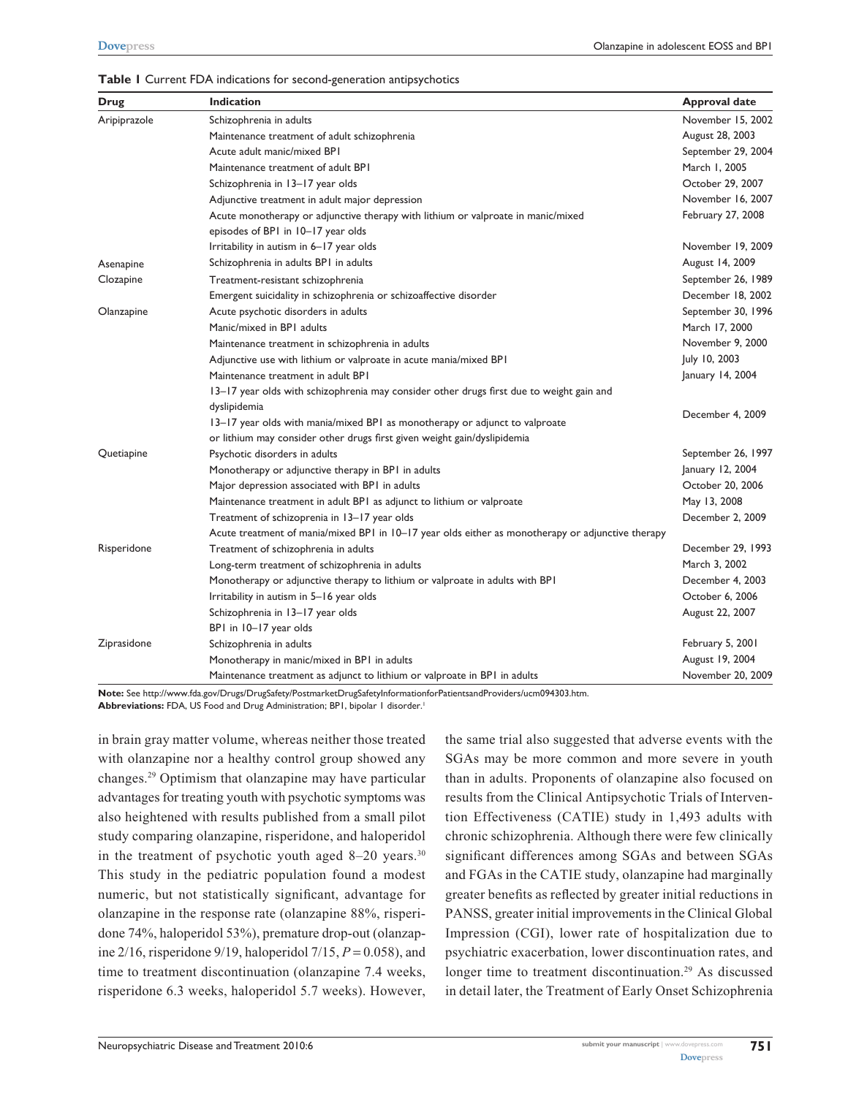#### **Table 1** Current FDA indications for second-generation antipsychotics

| <b>Drug</b>  | <b>Indication</b>                                                                                                      | <b>Approval date</b> |
|--------------|------------------------------------------------------------------------------------------------------------------------|----------------------|
| Aripiprazole | Schizophrenia in adults                                                                                                | November 15, 2002    |
|              | Maintenance treatment of adult schizophrenia                                                                           | August 28, 2003      |
|              | Acute adult manic/mixed BPI                                                                                            | September 29, 2004   |
|              | Maintenance treatment of adult BPI                                                                                     | March 1, 2005        |
|              | Schizophrenia in 13-17 year olds                                                                                       | October 29, 2007     |
|              | Adjunctive treatment in adult major depression                                                                         | November 16, 2007    |
|              | Acute monotherapy or adjunctive therapy with lithium or valproate in manic/mixed<br>episodes of BPI in 10-17 year olds | February 27, 2008    |
|              | Irritability in autism in 6-17 year olds                                                                               | November 19, 2009    |
| Asenapine    | Schizophrenia in adults BPI in adults                                                                                  | August 14, 2009      |
| Clozapine    | Treatment-resistant schizophrenia                                                                                      | September 26, 1989   |
|              | Emergent suicidality in schizophrenia or schizoaffective disorder                                                      | December 18, 2002    |
| Olanzapine   | Acute psychotic disorders in adults                                                                                    | September 30, 1996   |
|              | Manic/mixed in BPI adults                                                                                              | March 17, 2000       |
|              | Maintenance treatment in schizophrenia in adults                                                                       | November 9, 2000     |
|              | Adjunctive use with lithium or valproate in acute mania/mixed BPI                                                      | July 10, 2003        |
|              | Maintenance treatment in adult BPI                                                                                     | January 14, 2004     |
|              | 13-17 year olds with schizophrenia may consider other drugs first due to weight gain and                               |                      |
|              | dyslipidemia                                                                                                           | December 4, 2009     |
|              | 13-17 year olds with mania/mixed BP1 as monotherapy or adjunct to valproate                                            |                      |
|              | or lithium may consider other drugs first given weight gain/dyslipidemia                                               |                      |
| Quetiapine   | Psychotic disorders in adults                                                                                          | September 26, 1997   |
|              | Monotherapy or adjunctive therapy in BPI in adults                                                                     | January 12, 2004     |
|              | Major depression associated with BPI in adults                                                                         | October 20, 2006     |
|              | Maintenance treatment in adult BPI as adjunct to lithium or valproate                                                  | May 13, 2008         |
|              | Treatment of schizoprenia in 13-17 year olds                                                                           | December 2, 2009     |
|              | Acute treatment of mania/mixed BPI in 10-17 year olds either as monotherapy or adjunctive therapy                      |                      |
| Risperidone  | Treatment of schizophrenia in adults                                                                                   | December 29, 1993    |
|              | Long-term treatment of schizophrenia in adults                                                                         | March 3, 2002        |
|              | Monotherapy or adjunctive therapy to lithium or valproate in adults with BPI                                           | December 4, 2003     |
|              | Irritability in autism in 5-16 year olds                                                                               | October 6, 2006      |
|              | Schizophrenia in 13-17 year olds                                                                                       | August 22, 2007      |
|              | BPI in 10-17 year olds                                                                                                 |                      |
| Ziprasidone  | Schizophrenia in adults                                                                                                | February 5, 2001     |
|              | Monotherapy in manic/mixed in BPI in adults                                                                            | August 19, 2004      |
|              | Maintenance treatment as adjunct to lithium or valproate in BPI in adults                                              | November 20, 2009    |

**Note:** See [http://www.fda.gov/Drugs/DrugSafety/PostmarketDrugSafetyInformationforPatientsandProviders/ucm094303.htm.](http://www.fda.gov/Drugs/DrugSafety/PostmarketDrugSafetyInformationforPatientsandProviders/ucm094303.htm)

**Abbreviations:** FDA, US Food and Drug Administration; BP1, bipolar 1 disorder.1

in brain gray matter volume, whereas neither those treated with olanzapine nor a healthy control group showed any changes.29 Optimism that olanzapine may have particular advantages for treating youth with psychotic symptoms was also heightened with results published from a small pilot study comparing olanzapine, risperidone, and haloperidol in the treatment of psychotic youth aged  $8-20$  years.<sup>30</sup> This study in the pediatric population found a modest numeric, but not statistically significant, advantage for olanzapine in the response rate (olanzapine 88%, risperidone 74%, haloperidol 53%), premature drop-out (olanzapine 2/16, risperidone 9/19, haloperidol 7/15, *P* = 0.058), and time to treatment discontinuation (olanzapine 7.4 weeks, risperidone 6.3 weeks, haloperidol 5.7 weeks). However, the same trial also suggested that adverse events with the SGAs may be more common and more severe in youth than in adults. Proponents of olanzapine also focused on results from the Clinical Antipsychotic Trials of Intervention Effectiveness (CATIE) study in 1,493 adults with chronic schizophrenia. Although there were few clinically significant differences among SGAs and between SGAs and FGAs in the CATIE study, olanzapine had marginally greater benefits as reflected by greater initial reductions in PANSS, greater initial improvements in the Clinical Global Impression (CGI), lower rate of hospitalization due to psychiatric exacerbation, lower discontinuation rates, and longer time to treatment discontinuation.<sup>29</sup> As discussed in detail later, the Treatment of Early Onset Schizophrenia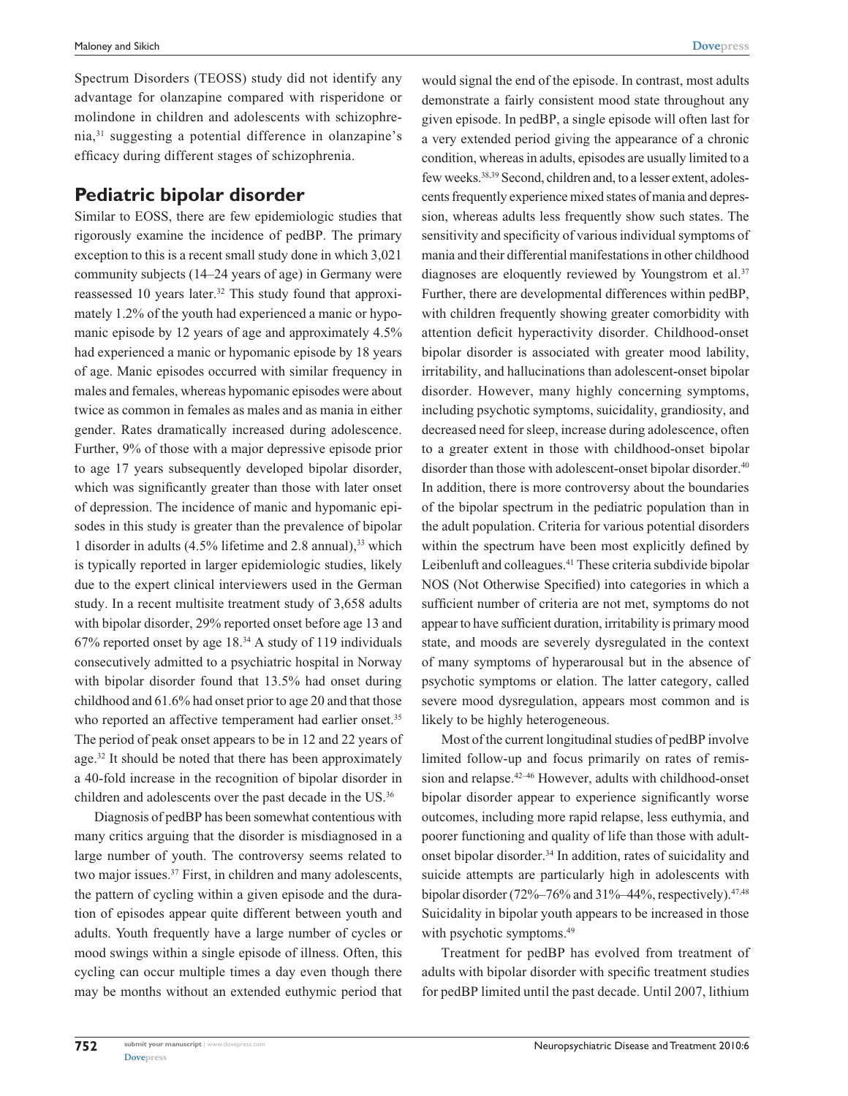Spectrum Disorders (TEOSS) study did not identify any advantage for olanzapine compared with risperidone or molindone in children and adolescents with schizophrenia,31 suggesting a potential difference in olanzapine's efficacy during different stages of schizophrenia.

#### **Pediatric bipolar disorder**

Similar to EOSS, there are few epidemiologic studies that rigorously examine the incidence of pedBP. The primary exception to this is a recent small study done in which 3,021 community subjects (14–24 years of age) in Germany were reassessed 10 years later.<sup>32</sup> This study found that approximately 1.2% of the youth had experienced a manic or hypomanic episode by 12 years of age and approximately 4.5% had experienced a manic or hypomanic episode by 18 years of age. Manic episodes occurred with similar frequency in males and females, whereas hypomanic episodes were about twice as common in females as males and as mania in either gender. Rates dramatically increased during adolescence. Further, 9% of those with a major depressive episode prior to age 17 years subsequently developed bipolar disorder, which was significantly greater than those with later onset of depression. The incidence of manic and hypomanic episodes in this study is greater than the prevalence of bipolar 1 disorder in adults  $(4.5\%$  lifetime and 2.8 annual),<sup>33</sup> which is typically reported in larger epidemiologic studies, likely due to the expert clinical interviewers used in the German study. In a recent multisite treatment study of 3,658 adults with bipolar disorder, 29% reported onset before age 13 and 67% reported onset by age 18.34 A study of 119 individuals consecutively admitted to a psychiatric hospital in Norway with bipolar disorder found that 13.5% had onset during childhood and 61.6% had onset prior to age 20 and that those who reported an affective temperament had earlier onset.<sup>35</sup> The period of peak onset appears to be in 12 and 22 years of age.<sup>32</sup> It should be noted that there has been approximately a 40-fold increase in the recognition of bipolar disorder in children and adolescents over the past decade in the US.36

Diagnosis of pedBP has been somewhat contentious with many critics arguing that the disorder is misdiagnosed in a large number of youth. The controversy seems related to two major issues.37 First, in children and many adolescents, the pattern of cycling within a given episode and the duration of episodes appear quite different between youth and adults. Youth frequently have a large number of cycles or mood swings within a single episode of illness. Often, this cycling can occur multiple times a day even though there may be months without an extended euthymic period that

would signal the end of the episode. In contrast, most adults demonstrate a fairly consistent mood state throughout any given episode. In pedBP, a single episode will often last for a very extended period giving the appearance of a chronic condition, whereas in adults, episodes are usually limited to a few weeks.<sup>38,39</sup> Second, children and, to a lesser extent, adolescents frequently experience mixed states of mania and depression, whereas adults less frequently show such states. The sensitivity and specificity of various individual symptoms of mania and their differential manifestations in other childhood diagnoses are eloquently reviewed by Youngstrom et al.<sup>37</sup> Further, there are developmental differences within pedBP, with children frequently showing greater comorbidity with attention deficit hyperactivity disorder. Childhood-onset bipolar disorder is associated with greater mood lability, irritability, and hallucinations than adolescent-onset bipolar disorder. However, many highly concerning symptoms, including psychotic symptoms, suicidality, grandiosity, and decreased need for sleep, increase during adolescence, often to a greater extent in those with childhood-onset bipolar disorder than those with adolescent-onset bipolar disorder.<sup>40</sup> In addition, there is more controversy about the boundaries of the bipolar spectrum in the pediatric population than in the adult population. Criteria for various potential disorders within the spectrum have been most explicitly defined by Leibenluft and colleagues.<sup>41</sup> These criteria subdivide bipolar NOS (Not Otherwise Specified) into categories in which a sufficient number of criteria are not met, symptoms do not appear to have sufficient duration, irritability is primary mood state, and moods are severely dysregulated in the context of many symptoms of hyperarousal but in the absence of psychotic symptoms or elation. The latter category, called severe mood dysregulation, appears most common and is likely to be highly heterogeneous.

Most of the current longitudinal studies of pedBP involve limited follow-up and focus primarily on rates of remission and relapse.42–46 However, adults with childhood-onset bipolar disorder appear to experience significantly worse outcomes, including more rapid relapse, less euthymia, and poorer functioning and quality of life than those with adultonset bipolar disorder.<sup>34</sup> In addition, rates of suicidality and suicide attempts are particularly high in adolescents with bipolar disorder (72%–76% and 31%–44%, respectively).  $47,48$ Suicidality in bipolar youth appears to be increased in those with psychotic symptoms.<sup>49</sup>

Treatment for pedBP has evolved from treatment of adults with bipolar disorder with specific treatment studies for pedBP limited until the past decade. Until 2007, lithium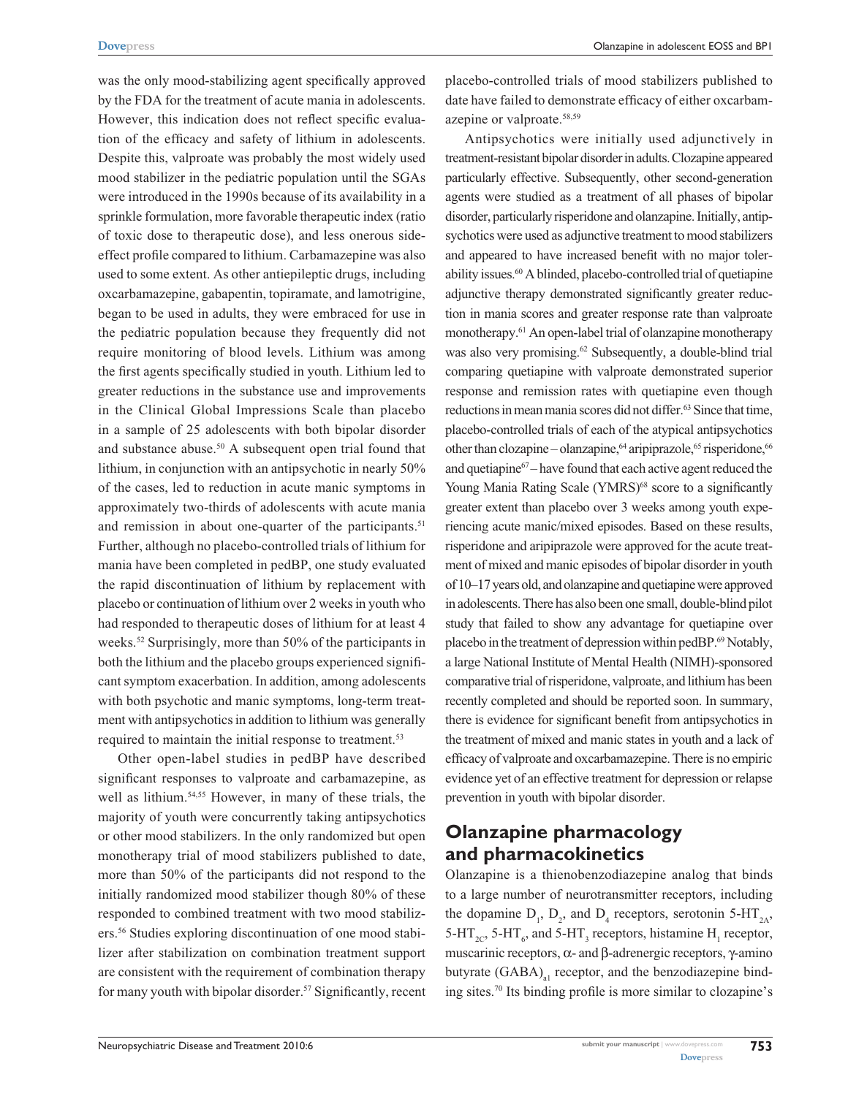was the only mood-stabilizing agent specifically approved by the FDA for the treatment of acute mania in adolescents. However, this indication does not reflect specific evaluation of the efficacy and safety of lithium in adolescents. Despite this, valproate was probably the most widely used mood stabilizer in the pediatric population until the SGAs were introduced in the 1990s because of its availability in a sprinkle formulation, more favorable therapeutic index (ratio of toxic dose to therapeutic dose), and less onerous sideeffect profile compared to lithium. Carbamazepine was also used to some extent. As other antiepileptic drugs, including oxcarbamazepine, gabapentin, topiramate, and lamotrigine, began to be used in adults, they were embraced for use in the pediatric population because they frequently did not require monitoring of blood levels. Lithium was among the first agents specifically studied in youth. Lithium led to greater reductions in the substance use and improvements in the Clinical Global Impressions Scale than placebo in a sample of 25 adolescents with both bipolar disorder and substance abuse.<sup>50</sup> A subsequent open trial found that lithium, in conjunction with an antipsychotic in nearly 50% of the cases, led to reduction in acute manic symptoms in approximately two-thirds of adolescents with acute mania and remission in about one-quarter of the participants.<sup>51</sup> Further, although no placebo-controlled trials of lithium for mania have been completed in pedBP, one study evaluated the rapid discontinuation of lithium by replacement with placebo or continuation of lithium over 2 weeks in youth who had responded to therapeutic doses of lithium for at least 4 weeks.52 Surprisingly, more than 50% of the participants in both the lithium and the placebo groups experienced significant symptom exacerbation. In addition, among adolescents with both psychotic and manic symptoms, long-term treatment with antipsychotics in addition to lithium was generally required to maintain the initial response to treatment.53

Other open-label studies in pedBP have described significant responses to valproate and carbamazepine, as well as lithium.<sup>54,55</sup> However, in many of these trials, the majority of youth were concurrently taking antipsychotics or other mood stabilizers. In the only randomized but open monotherapy trial of mood stabilizers published to date, more than 50% of the participants did not respond to the initially randomized mood stabilizer though 80% of these responded to combined treatment with two mood stabilizers.56 Studies exploring discontinuation of one mood stabilizer after stabilization on combination treatment support are consistent with the requirement of combination therapy for many youth with bipolar disorder.<sup>57</sup> Significantly, recent

placebo-controlled trials of mood stabilizers published to date have failed to demonstrate efficacy of either oxcarbamazepine or valproate.<sup>58,59</sup>

Antipsychotics were initially used adjunctively in treatment-resistant bipolar disorder in adults. Clozapine appeared particularly effective. Subsequently, other second-generation agents were studied as a treatment of all phases of bipolar disorder, particularly risperidone and olanzapine. Initially, antipsychotics were used as adjunctive treatment to mood stabilizers and appeared to have increased benefit with no major tolerability issues.<sup>60</sup> A blinded, placebo-controlled trial of quetiapine adjunctive therapy demonstrated significantly greater reduction in mania scores and greater response rate than valproate monotherapy.61 An open-label trial of olanzapine monotherapy was also very promising.<sup>62</sup> Subsequently, a double-blind trial comparing quetiapine with valproate demonstrated superior response and remission rates with quetiapine even though reductions in mean mania scores did not differ.<sup>63</sup> Since that time, placebo-controlled trials of each of the atypical antipsychotics other than clozapine – olanzapine,<sup>64</sup> aripiprazole,<sup>65</sup> risperidone,<sup>66</sup> and quetiapine<sup>67</sup> – have found that each active agent reduced the Young Mania Rating Scale (YMRS)<sup>68</sup> score to a significantly greater extent than placebo over 3 weeks among youth experiencing acute manic/mixed episodes. Based on these results, risperidone and aripiprazole were approved for the acute treatment of mixed and manic episodes of bipolar disorder in youth of 10–17 years old, and olanzapine and quetiapine were approved in adolescents. There has also been one small, double-blind pilot study that failed to show any advantage for quetiapine over placebo in the treatment of depression within pedBP.<sup>69</sup> Notably, a large National Institute of Mental Health (NIMH)-sponsored comparative trial of risperidone, valproate, and lithium has been recently completed and should be reported soon. In summary, there is evidence for significant benefit from antipsychotics in the treatment of mixed and manic states in youth and a lack of efficacy of valproate and oxcarbamazepine. There is no empiric evidence yet of an effective treatment for depression or relapse prevention in youth with bipolar disorder.

# **Olanzapine pharmacology and pharmacokinetics**

Olanzapine is a thienobenzodiazepine analog that binds to a large number of neurotransmitter receptors, including the dopamine  $D_1$ ,  $D_2$ , and  $D_4$  receptors, serotonin 5-HT<sub>2A</sub>, 5-HT<sub>2C</sub>, 5-HT<sub>6</sub>, and 5-HT<sub>3</sub> receptors, histamine H<sub>1</sub> receptor, muscarinic receptors, α- and β-adrenergic receptors, γ-amino butyrate  $(GABA)_{a1}$  receptor, and the benzodiazepine binding sites.70 Its binding profile is more similar to clozapine's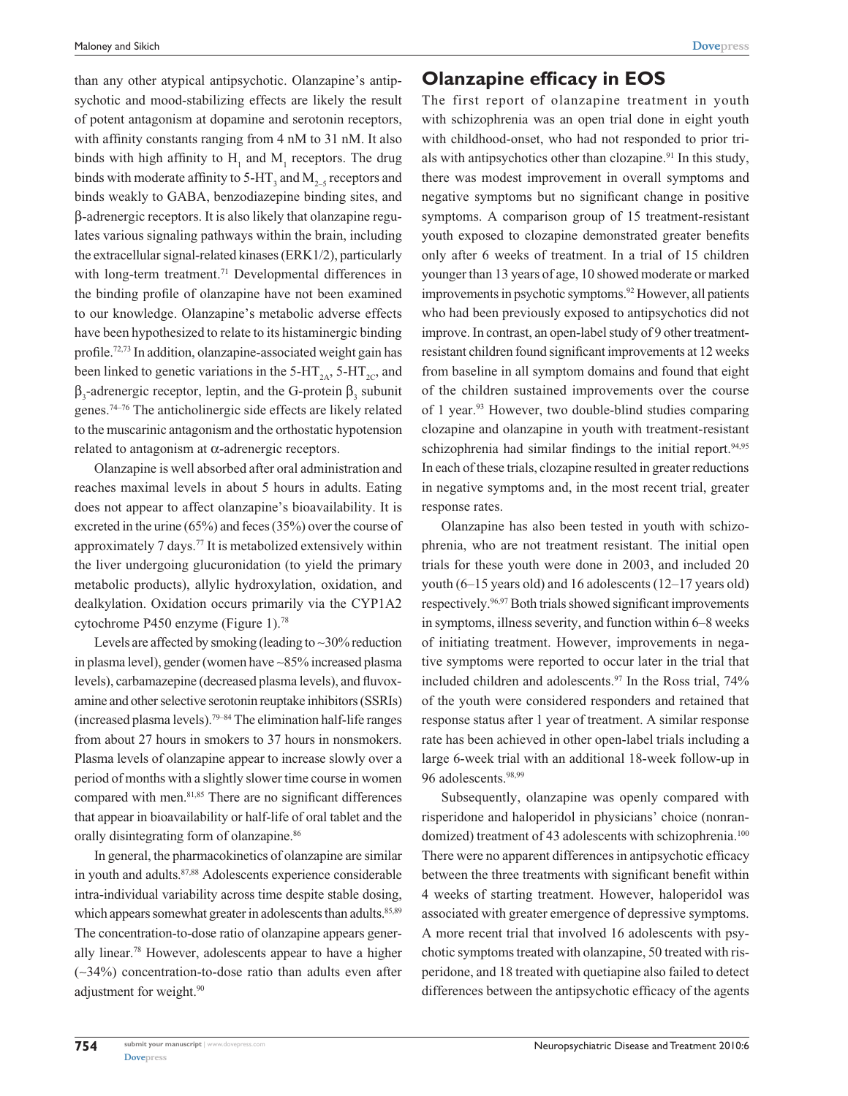than any other atypical antipsychotic. Olanzapine's antipsychotic and mood-stabilizing effects are likely the result of potent antagonism at dopamine and serotonin receptors, with affinity constants ranging from 4 nM to 31 nM. It also binds with high affinity to  $H_1$  and  $M_1$  receptors. The drug binds with moderate affinity to  $5-HT_3$  and  $M_{2-5}$  receptors and binds weakly to GABA, benzodiazepine binding sites, and β-adrenergic receptors. It is also likely that olanzapine regulates various signaling pathways within the brain, including the extracellular signal-related kinases (ERK1/2), particularly with long-term treatment.<sup>71</sup> Developmental differences in the binding profile of olanzapine have not been examined to our knowledge. Olanzapine's metabolic adverse effects have been hypothesized to relate to its histaminergic binding profile.72,73 In addition, olanzapine-associated weight gain has been linked to genetic variations in the 5-HT<sub>2A</sub>, 5-HT<sub>2C</sub>, and  $β_3$ -adrenergic receptor, leptin, and the G-protein  $β_3$  subunit genes.74–76 The anticholinergic side effects are likely related to the muscarinic antagonism and the orthostatic hypotension related to antagonism at α-adrenergic receptors.

Olanzapine is well absorbed after oral administration and reaches maximal levels in about 5 hours in adults. Eating does not appear to affect olanzapine's bioavailability. It is excreted in the urine (65%) and feces (35%) over the course of approximately 7 days.77 It is metabolized extensively within the liver undergoing glucuronidation (to yield the primary metabolic products), allylic hydroxylation, oxidation, and dealkylation. Oxidation occurs primarily via the CYP1A2 cytochrome P450 enzyme (Figure 1).<sup>78</sup>

Levels are affected by smoking (leading to ∼30% reduction in plasma level), gender (women have ∼85% increased plasma levels), carbamazepine (decreased plasma levels), and fluvoxamine and other selective serotonin reuptake inhibitors (SSRIs) (increased plasma levels).<sup>79–84</sup> The elimination half-life ranges from about 27 hours in smokers to 37 hours in nonsmokers. Plasma levels of olanzapine appear to increase slowly over a period of months with a slightly slower time course in women compared with men.<sup>81,85</sup> There are no significant differences that appear in bioavailability or half-life of oral tablet and the orally disintegrating form of olanzapine.<sup>86</sup>

In general, the pharmacokinetics of olanzapine are similar in youth and adults.87,88 Adolescents experience considerable intra-individual variability across time despite stable dosing, which appears somewhat greater in adolescents than adults.<sup>85,89</sup> The concentration-to-dose ratio of olanzapine appears generally linear.78 However, adolescents appear to have a higher (∼34%) concentration-to-dose ratio than adults even after adjustment for weight.<sup>90</sup>

## **Olanzapine efficacy in EOS**

The first report of olanzapine treatment in youth with schizophrenia was an open trial done in eight youth with childhood-onset, who had not responded to prior trials with antipsychotics other than clozapine.<sup>91</sup> In this study, there was modest improvement in overall symptoms and negative symptoms but no significant change in positive symptoms. A comparison group of 15 treatment-resistant youth exposed to clozapine demonstrated greater benefits only after 6 weeks of treatment. In a trial of 15 children younger than 13 years of age, 10 showed moderate or marked improvements in psychotic symptoms.<sup>92</sup> However, all patients who had been previously exposed to antipsychotics did not improve. In contrast, an open-label study of 9 other treatmentresistant children found significant improvements at 12 weeks from baseline in all symptom domains and found that eight of the children sustained improvements over the course of 1 year.<sup>93</sup> However, two double-blind studies comparing clozapine and olanzapine in youth with treatment-resistant schizophrenia had similar findings to the initial report.<sup>94,95</sup> In each of these trials, clozapine resulted in greater reductions in negative symptoms and, in the most recent trial, greater response rates.

Olanzapine has also been tested in youth with schizophrenia, who are not treatment resistant. The initial open trials for these youth were done in 2003, and included 20 youth (6–15 years old) and 16 adolescents (12–17 years old) respectively.96,97 Both trials showed significant improvements in symptoms, illness severity, and function within 6–8 weeks of initiating treatment. However, improvements in negative symptoms were reported to occur later in the trial that included children and adolescents.97 In the Ross trial, 74% of the youth were considered responders and retained that response status after 1 year of treatment. A similar response rate has been achieved in other open-label trials including a large 6-week trial with an additional 18-week follow-up in 96 adolescents.98,99

Subsequently, olanzapine was openly compared with risperidone and haloperidol in physicians' choice (nonrandomized) treatment of 43 adolescents with schizophrenia.<sup>100</sup> There were no apparent differences in antipsychotic efficacy between the three treatments with significant benefit within 4 weeks of starting treatment. However, haloperidol was associated with greater emergence of depressive symptoms. A more recent trial that involved 16 adolescents with psychotic symptoms treated with olanzapine, 50 treated with risperidone, and 18 treated with quetiapine also failed to detect differences between the antipsychotic efficacy of the agents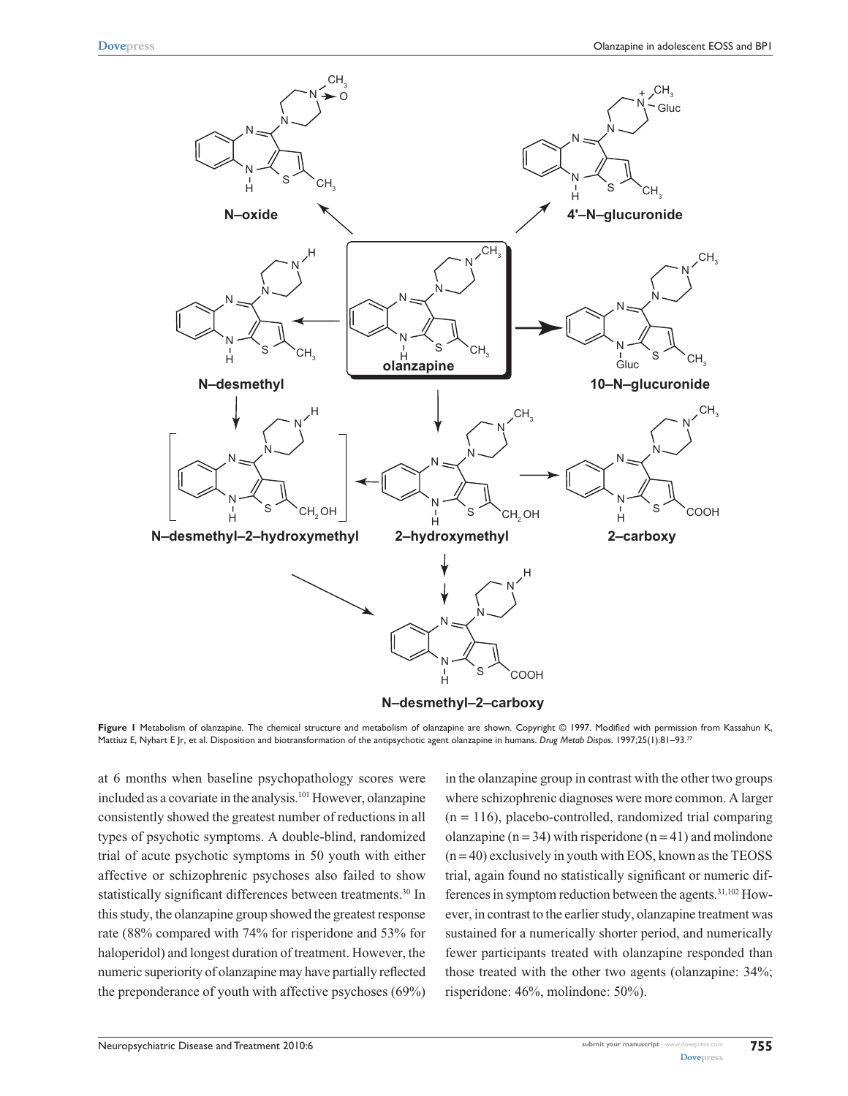

**N–desmethyl–2–carboxy**

**Figure 1** Metabolism of olanzapine. The chemical structure and metabolism of olanzapine are shown. Copyright © 1997. Modified with permission from Kassahun K, Mattiuz E, Nyhart E Jr, et al. Disposition and biotransformation of the antipsychotic agent olanzapine in humans. *Drug Metab Dispos*. 1997;25(1):81–93.77

at 6 months when baseline psychopathology scores were included as a covariate in the analysis.101 However, olanzapine consistently showed the greatest number of reductions in all types of psychotic symptoms. A double-blind, randomized trial of acute psychotic symptoms in 50 youth with either affective or schizophrenic psychoses also failed to show statistically significant differences between treatments.<sup>30</sup> In this study, the olanzapine group showed the greatest response rate (88% compared with 74% for risperidone and 53% for haloperidol) and longest duration of treatment. However, the numeric superiority of olanzapine may have partially reflected the preponderance of youth with affective psychoses (69%)

in the olanzapine group in contrast with the other two groups where schizophrenic diagnoses were more common. A larger  $(n = 116)$ , placebo-controlled, randomized trial comparing olanzapine ( $n = 34$ ) with risperidone ( $n = 41$ ) and molindone  $(n = 40)$  exclusively in youth with EOS, known as the TEOSS trial, again found no statistically significant or numeric differences in symptom reduction between the agents.31,102 However, in contrast to the earlier study, olanzapine treatment was sustained for a numerically shorter period, and numerically fewer participants treated with olanzapine responded than those treated with the other two agents (olanzapine: 34%; risperidone: 46%, molindone: 50%).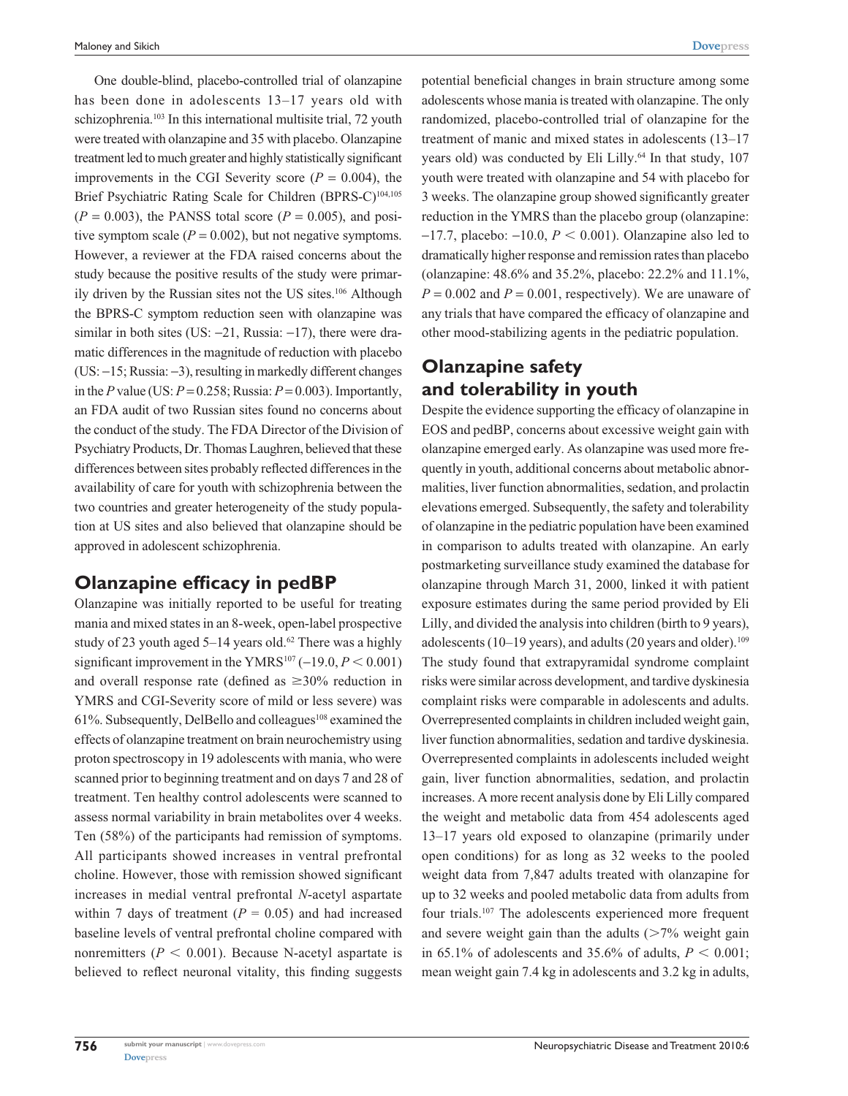One double-blind, placebo-controlled trial of olanzapine has been done in adolescents 13–17 years old with schizophrenia.<sup>103</sup> In this international multisite trial, 72 youth were treated with olanzapine and 35 with placebo. Olanzapine treatment led to much greater and highly statistically significant improvements in the CGI Severity score  $(P = 0.004)$ , the Brief Psychiatric Rating Scale for Children (BPRS-C)<sup>104,105</sup>  $(P = 0.003)$ , the PANSS total score  $(P = 0.005)$ , and positive symptom scale  $(P = 0.002)$ , but not negative symptoms. However, a reviewer at the FDA raised concerns about the study because the positive results of the study were primarily driven by the Russian sites not the US sites.<sup>106</sup> Although the BPRS-C symptom reduction seen with olanzapine was similar in both sites (US: -21, Russia: -17), there were dramatic differences in the magnitude of reduction with placebo (US: −15; Russia: −3), resulting in markedly different changes in the *P* value (US:  $P = 0.258$ ; Russia:  $P = 0.003$ ). Importantly, an FDA audit of two Russian sites found no concerns about the conduct of the study. The FDA Director of the Division of Psychiatry Products, Dr. Thomas Laughren, believed that these differences between sites probably reflected differences in the availability of care for youth with schizophrenia between the two countries and greater heterogeneity of the study population at US sites and also believed that olanzapine should be approved in adolescent schizophrenia.

## **Olanzapine efficacy in pedBP**

Olanzapine was initially reported to be useful for treating mania and mixed states in an 8-week, open-label prospective study of 23 youth aged  $5-14$  years old.<sup>62</sup> There was a highly significant improvement in the YMRS<sup>107</sup> (−19.0,  $P < 0.001$ ) and overall response rate (defined as  $\geq 30\%$  reduction in YMRS and CGI-Severity score of mild or less severe) was 61%. Subsequently, DelBello and colleagues $108$  examined the effects of olanzapine treatment on brain neurochemistry using proton spectroscopy in 19 adolescents with mania, who were scanned prior to beginning treatment and on days 7 and 28 of treatment. Ten healthy control adolescents were scanned to assess normal variability in brain metabolites over 4 weeks. Ten (58%) of the participants had remission of symptoms. All participants showed increases in ventral prefrontal choline. However, those with remission showed significant increases in medial ventral prefrontal *N*-acetyl aspartate within 7 days of treatment  $(P = 0.05)$  and had increased baseline levels of ventral prefrontal choline compared with nonremitters ( $P < 0.001$ ). Because N-acetyl aspartate is believed to reflect neuronal vitality, this finding suggests potential beneficial changes in brain structure among some adolescents whose mania is treated with olanzapine. The only randomized, placebo-controlled trial of olanzapine for the treatment of manic and mixed states in adolescents (13–17 years old) was conducted by Eli Lilly.<sup>64</sup> In that study, 107 youth were treated with olanzapine and 54 with placebo for 3 weeks. The olanzapine group showed significantly greater reduction in the YMRS than the placebo group (olanzapine:  $-17.7$ , placebo:  $-10.0$ ,  $P < 0.001$ ). Olanzapine also led to dramatically higher response and remission rates than placebo (olanzapine: 48.6% and 35.2%, placebo: 22.2% and 11.1%,  $P = 0.002$  and  $P = 0.001$ , respectively). We are unaware of any trials that have compared the efficacy of olanzapine and other mood-stabilizing agents in the pediatric population.

# **Olanzapine safety and tolerability in youth**

Despite the evidence supporting the efficacy of olanzapine in EOS and pedBP, concerns about excessive weight gain with olanzapine emerged early. As olanzapine was used more frequently in youth, additional concerns about metabolic abnormalities, liver function abnormalities, sedation, and prolactin elevations emerged. Subsequently, the safety and tolerability of olanzapine in the pediatric population have been examined in comparison to adults treated with olanzapine. An early postmarketing surveillance study examined the database for olanzapine through March 31, 2000, linked it with patient exposure estimates during the same period provided by Eli Lilly, and divided the analysis into children (birth to 9 years), adolescents (10–19 years), and adults (20 years and older).<sup>109</sup> The study found that extrapyramidal syndrome complaint risks were similar across development, and tardive dyskinesia complaint risks were comparable in adolescents and adults. Overrepresented complaints in children included weight gain, liver function abnormalities, sedation and tardive dyskinesia. Overrepresented complaints in adolescents included weight gain, liver function abnormalities, sedation, and prolactin increases. A more recent analysis done by Eli Lilly compared the weight and metabolic data from 454 adolescents aged 13–17 years old exposed to olanzapine (primarily under open conditions) for as long as 32 weeks to the pooled weight data from 7,847 adults treated with olanzapine for up to 32 weeks and pooled metabolic data from adults from four trials.107 The adolescents experienced more frequent and severe weight gain than the adults  $(>= 7\%$  weight gain in 65.1% of adolescents and 35.6% of adults,  $P < 0.001$ ; mean weight gain 7.4 kg in adolescents and 3.2 kg in adults,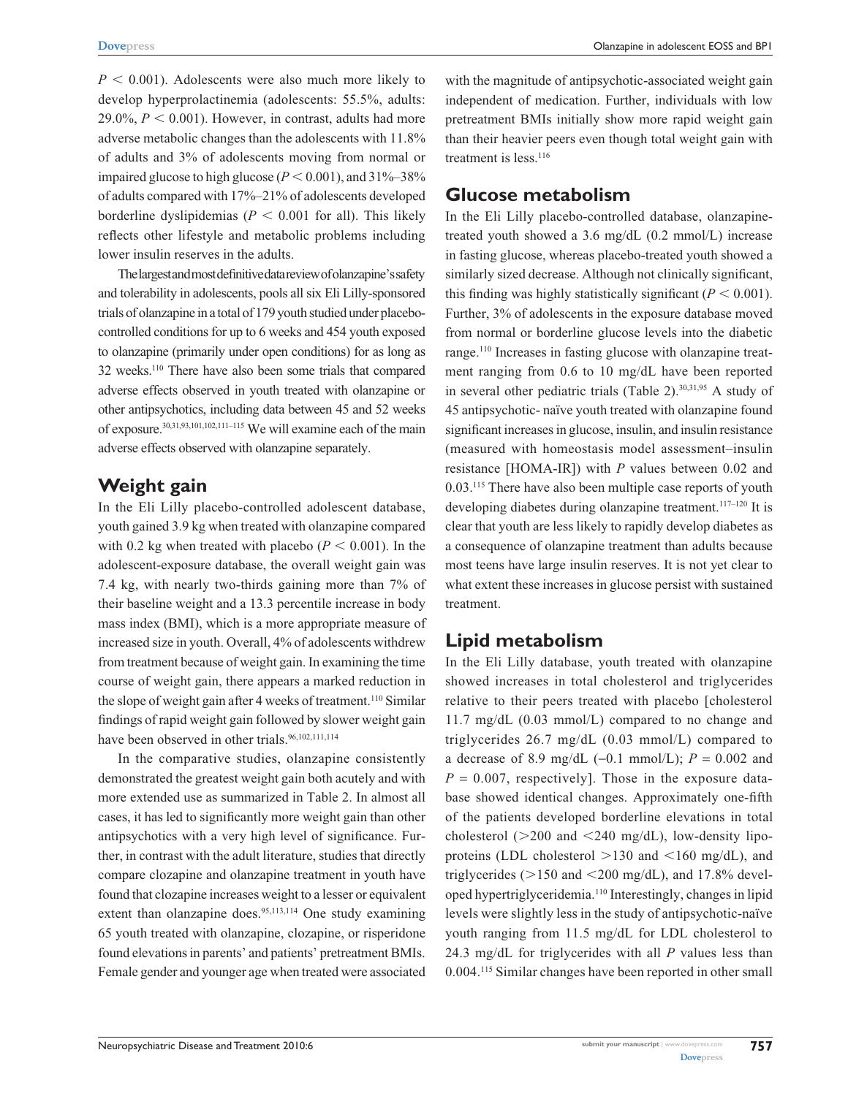$P < 0.001$ ). Adolescents were also much more likely to develop hyperprolactinemia (adolescents: 55.5%, adults: 29.0%,  $P < 0.001$ ). However, in contrast, adults had more adverse metabolic changes than the adolescents with 11.8% of adults and 3% of adolescents moving from normal or impaired glucose to high glucose  $(P < 0.001)$ , and  $31\% - 38\%$ of adults compared with 17%–21% of adolescents developed borderline dyslipidemias ( $P < 0.001$  for all). This likely reflects other lifestyle and metabolic problems including lower insulin reserves in the adults.

The largest and most definitive data review of olanzapine's safety and tolerability in adolescents, pools all six Eli Lilly-sponsored trials of olanzapine in a total of 179 youth studied under placebocontrolled conditions for up to 6 weeks and 454 youth exposed to olanzapine (primarily under open conditions) for as long as 32 weeks.110 There have also been some trials that compared adverse effects observed in youth treated with olanzapine or other antipsychotics, including data between 45 and 52 weeks of exposure.30,31,93,101,102,111–115 We will examine each of the main adverse effects observed with olanzapine separately.

## **Weight gain**

In the Eli Lilly placebo-controlled adolescent database, youth gained 3.9 kg when treated with olanzapine compared with 0.2 kg when treated with placebo  $(P < 0.001)$ . In the adolescent-exposure database, the overall weight gain was 7.4 kg, with nearly two-thirds gaining more than 7% of their baseline weight and a 13.3 percentile increase in body mass index (BMI), which is a more appropriate measure of increased size in youth. Overall, 4% of adolescents withdrew from treatment because of weight gain. In examining the time course of weight gain, there appears a marked reduction in the slope of weight gain after 4 weeks of treatment.<sup>110</sup> Similar findings of rapid weight gain followed by slower weight gain have been observed in other trials.<sup>96,102,111,114</sup>

In the comparative studies, olanzapine consistently demonstrated the greatest weight gain both acutely and with more extended use as summarized in Table 2. In almost all cases, it has led to significantly more weight gain than other antipsychotics with a very high level of significance. Further, in contrast with the adult literature, studies that directly compare clozapine and olanzapine treatment in youth have found that clozapine increases weight to a lesser or equivalent extent than olanzapine does.<sup>95,113,114</sup> One study examining 65 youth treated with olanzapine, clozapine, or risperidone found elevations in parents' and patients' pretreatment BMIs. Female gender and younger age when treated were associated with the magnitude of antipsychotic-associated weight gain independent of medication. Further, individuals with low pretreatment BMIs initially show more rapid weight gain than their heavier peers even though total weight gain with treatment is less.<sup>116</sup>

#### **Glucose metabolism**

In the Eli Lilly placebo-controlled database, olanzapinetreated youth showed a 3.6 mg/dL (0.2 mmol/L) increase in fasting glucose, whereas placebo-treated youth showed a similarly sized decrease. Although not clinically significant, this finding was highly statistically significant  $(P < 0.001)$ . Further, 3% of adolescents in the exposure database moved from normal or borderline glucose levels into the diabetic range.<sup>110</sup> Increases in fasting glucose with olanzapine treatment ranging from 0.6 to 10 mg/dL have been reported in several other pediatric trials (Table 2). $30,31,95$  A study of 45 antipsychotic- naïve youth treated with olanzapine found significant increases in glucose, insulin, and insulin resistance (measured with homeostasis model assessment–insulin resistance [HOMA-IR]) with *P* values between 0.02 and 0.03.115 There have also been multiple case reports of youth developing diabetes during olanzapine treatment.<sup>117–120</sup> It is clear that youth are less likely to rapidly develop diabetes as a consequence of olanzapine treatment than adults because most teens have large insulin reserves. It is not yet clear to what extent these increases in glucose persist with sustained treatment.

## **Lipid metabolism**

In the Eli Lilly database, youth treated with olanzapine showed increases in total cholesterol and triglycerides relative to their peers treated with placebo [cholesterol 11.7 mg/dL (0.03 mmol/L) compared to no change and triglycerides 26.7 mg/dL (0.03 mmol/L) compared to a decrease of 8.9 mg/dL (−0.1 mmol/L); *P* = 0.002 and  $P = 0.007$ , respectively]. Those in the exposure database showed identical changes. Approximately one-fifth of the patients developed borderline elevations in total cholesterol ( $>$ 200 and  $<$ 240 mg/dL), low-density lipoproteins (LDL cholesterol  $>130$  and  $<160$  mg/dL), and triglycerides ( $>150$  and  $<$ 200 mg/dL), and 17.8% developed hypertriglyceridemia.110 Interestingly, changes in lipid levels were slightly less in the study of antipsychotic-naïve youth ranging from 11.5 mg/dL for LDL cholesterol to 24.3 mg/dL for triglycerides with all *P* values less than 0.004.115 Similar changes have been reported in other small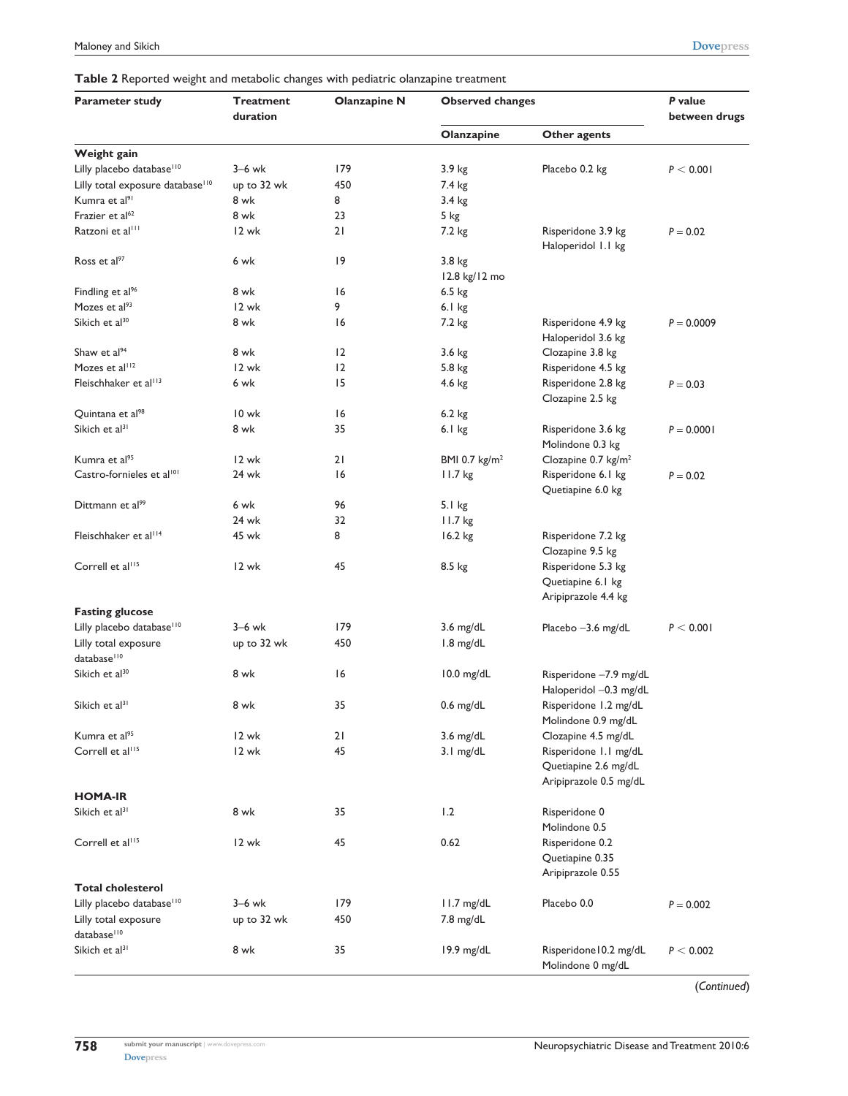**Table 2** Reported weight and metabolic changes with pediatric olanzapine treatment

| <b>Parameter study</b>                          | <b>Treatment</b><br>duration | <b>Olanzapine N</b> | <b>Observed changes</b>            |                                                         | P value<br>between drugs |
|-------------------------------------------------|------------------------------|---------------------|------------------------------------|---------------------------------------------------------|--------------------------|
|                                                 |                              |                     | Olanzapine                         | Other agents                                            |                          |
| Weight gain                                     |                              |                     |                                    |                                                         |                          |
| Lilly placebo database <sup>110</sup>           | 3–6 wk                       | 179                 | 3.9 kg                             | Placebo 0.2 kg                                          | P < 0.001                |
| Lilly total exposure database <sup>110</sup>    | up to 32 wk                  | 450                 | 7.4 kg                             |                                                         |                          |
| Kumra et al <sup>91</sup>                       | 8 wk                         | 8                   | $3.4 \text{ kg}$                   |                                                         |                          |
| Frazier et al <sup>62</sup>                     | 8 wk                         | 23                  | $5$ kg                             |                                                         |                          |
| Ratzoni et al <sup>111</sup>                    | 12 wk                        | 21                  | 7.2 kg                             | Risperidone 3.9 kg<br>Haloperidol 1.1 kg                | $P = 0.02$               |
| Ross et al <sup>97</sup>                        | 6 wk                         | 19                  | 3.8 <sub>kg</sub><br>12.8 kg/12 mo |                                                         |                          |
| Findling et al <sup>96</sup>                    | 8 wk                         | 16                  | $6.5$ kg                           |                                                         |                          |
| Mozes et al <sup>93</sup>                       | 12 wk                        | 9                   | $6.1$ kg                           |                                                         |                          |
| Sikich et al <sup>30</sup>                      | 8 wk                         | 16                  | 7.2 kg                             | Risperidone 4.9 kg                                      | $P = 0.0009$             |
|                                                 |                              |                     |                                    | Haloperidol 3.6 kg                                      |                          |
| Shaw et al <sup>94</sup>                        | 8 wk                         | 12                  | $3.6$ kg                           | Clozapine 3.8 kg                                        |                          |
| Mozes et al <sup>112</sup>                      | 12 wk                        | 12                  | 5.8 kg                             | Risperidone 4.5 kg                                      |                          |
| Fleischhaker et al <sup>113</sup>               | 6 wk                         | 15                  | 4.6 $kg$                           | Risperidone 2.8 kg<br>Clozapine 2.5 kg                  | $P = 0.03$               |
| Quintana et al <sup>98</sup>                    | 10 wk                        | 16                  | $6.2$ kg                           |                                                         |                          |
| Sikich et al <sup>31</sup>                      | 8 wk                         | 35                  | $6.1$ kg                           | Risperidone 3.6 kg<br>Molindone 0.3 kg                  | $P = 0.0001$             |
| Kumra et al <sup>95</sup>                       | 12 wk                        | 21                  | BMI 0.7 kg/m <sup>2</sup>          | Clozapine 0.7 kg/m <sup>2</sup>                         |                          |
| Castro-fornieles et al <sup>101</sup>           | 24 wk                        | 16                  | $11.7$ kg                          | Risperidone 6.1 kg                                      | $P = 0.02$               |
|                                                 |                              |                     |                                    | Quetiapine 6.0 kg                                       |                          |
| Dittmann et al <sup>99</sup>                    | 6 wk                         | 96                  | $5.1$ kg                           |                                                         |                          |
|                                                 | 24 wk                        | 32                  | 11.7 kg                            |                                                         |                          |
| Fleischhaker et al <sup>114</sup>               | 45 wk                        | 8                   | $16.2$ kg                          | Risperidone 7.2 kg<br>Clozapine 9.5 kg                  |                          |
| Correll et al <sup>115</sup>                    | 12 wk                        | 45                  | 8.5 kg                             | Risperidone 5.3 kg<br>Quetiapine 6.1 kg                 |                          |
|                                                 |                              |                     |                                    | Aripiprazole 4.4 kg                                     |                          |
| <b>Fasting glucose</b>                          |                              |                     |                                    |                                                         |                          |
| Lilly placebo database <sup>110</sup>           | 3–6 wk                       | 179                 | $3.6 \text{ mg/dL}$                | Placebo -3.6 mg/dL                                      | P < 0.001                |
| Lilly total exposure<br>database <sup>110</sup> | up to 32 wk                  | 450                 | $1.8 \text{ mg/dL}$                |                                                         |                          |
| Sikich et al <sup>30</sup>                      | 8 wk                         | 16                  | $10.0$ mg/dL                       | Risperidone -7.9 mg/dL<br>Haloperidol -0.3 mg/dL        |                          |
| Sikich et al <sup>31</sup>                      | 8 wk                         | 35                  | $0.6$ mg/dL                        | Risperidone 1.2 mg/dL<br>Molindone 0.9 mg/dL            |                          |
| Kumra et al <sup>95</sup>                       | 12 wk                        | 21                  | $3.6$ mg/dL                        | Clozapine 4.5 mg/dL                                     |                          |
| Correll et al <sup>115</sup>                    | 12 wk                        | 45                  | $3.1 \text{ mg/dL}$                | Risperidone 1.1 mg/dL<br>Quetiapine 2.6 mg/dL           |                          |
|                                                 |                              |                     |                                    | Aripiprazole 0.5 mg/dL                                  |                          |
| <b>HOMA-IR</b>                                  |                              |                     |                                    |                                                         |                          |
| Sikich et al <sup>31</sup>                      | 8 wk                         | 35                  | 1.2                                | Risperidone 0<br>Molindone 0.5                          |                          |
| Correll et al <sup>115</sup>                    | 12 wk                        | 45                  | 0.62                               | Risperidone 0.2<br>Quetiapine 0.35<br>Aripiprazole 0.55 |                          |
| <b>Total cholesterol</b>                        |                              |                     |                                    |                                                         |                          |
| Lilly placebo database <sup>110</sup>           | 3–6 wk                       | 179                 | II.7 mg/dL                         | Placebo 0.0                                             | $P = 0.002$              |
| Lilly total exposure<br>database <sup>110</sup> | up to 32 wk                  | 450                 | $7.8 \text{ mg/dL}$                |                                                         |                          |
| Sikich et al <sup>31</sup>                      | 8 wk                         | 35                  | 19.9 mg/dL                         | Risperidone I 0.2 mg/dL<br>Molindone 0 mg/dL            | P < 0.002                |

(*Continued*)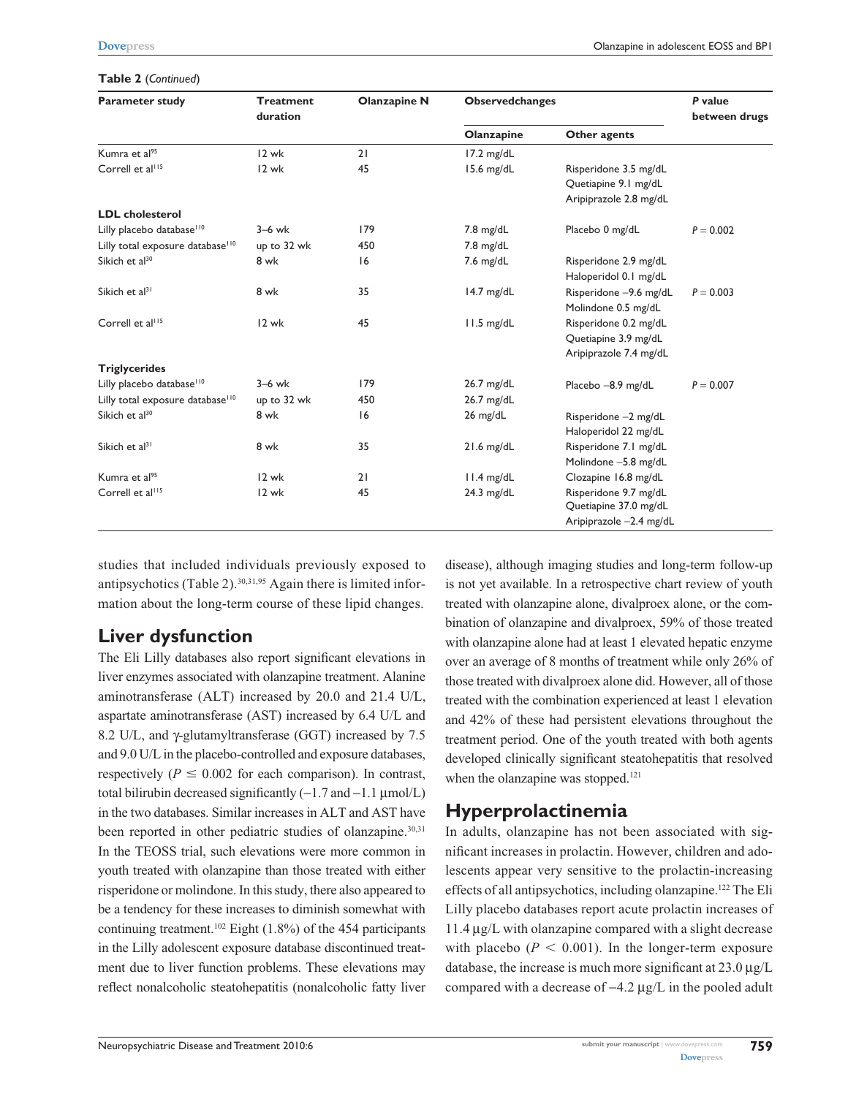#### **Table 2** (*Continued*)

| <b>Parameter study</b>                       | <b>Treatment</b><br>duration | <b>Olanzapine N</b> | <b>Observedchanges</b> |                         | P value<br>between drugs |
|----------------------------------------------|------------------------------|---------------------|------------------------|-------------------------|--------------------------|
|                                              |                              |                     | Olanzapine             | Other agents            |                          |
| Kumra et al <sup>95</sup>                    | 12 wk                        | 21                  | $17.2 \text{ mg/dL}$   |                         |                          |
| Correll et al <sup>115</sup>                 | 12 wk                        | 45                  | $15.6$ mg/dL           | Risperidone 3.5 mg/dL   |                          |
|                                              |                              |                     |                        | Quetiapine 9.1 mg/dL    |                          |
|                                              |                              |                     |                        | Aripiprazole 2.8 mg/dL  |                          |
| <b>LDL</b> cholesterol                       |                              |                     |                        |                         |                          |
| Lilly placebo database <sup>110</sup>        | $3-6$ wk                     | 179                 | $7.8$ mg/dL            | Placebo 0 mg/dL         | $P = 0.002$              |
| Lilly total exposure database <sup>110</sup> | up to 32 wk                  | 450                 | $7.8 \text{ mg/dL}$    |                         |                          |
| Sikich et al <sup>30</sup>                   | 8 wk                         | 16                  | $7.6$ mg/dL            | Risperidone 2.9 mg/dL   |                          |
|                                              |                              |                     |                        | Haloperidol 0.1 mg/dL   |                          |
| Sikich et al <sup>31</sup>                   | 8 wk                         | 35                  | $14.7$ mg/dL           | Risperidone -9.6 mg/dL  | $P = 0.003$              |
|                                              |                              |                     |                        | Molindone 0.5 mg/dL     |                          |
| Correll et al <sup>115</sup>                 | 12 wk                        | 45                  | $11.5 \text{ mg/dL}$   | Risperidone 0.2 mg/dL   |                          |
|                                              |                              |                     |                        | Quetiapine 3.9 mg/dL    |                          |
|                                              |                              |                     |                        | Aripiprazole 7.4 mg/dL  |                          |
| <b>Triglycerides</b>                         |                              |                     |                        |                         |                          |
| Lilly placebo database <sup>110</sup>        | $3-6$ wk                     | 179                 | 26.7 mg/dL             | Placebo -8.9 mg/dL      | $P = 0.007$              |
| Lilly total exposure database <sup>110</sup> | up to 32 wk                  | 450                 | 26.7 mg/dL             |                         |                          |
| Sikich et al <sup>30</sup>                   | 8 wk                         | 16                  | $26 \text{ mg/dL}$     | Risperidone -2 mg/dL    |                          |
|                                              |                              |                     |                        | Haloperidol 22 mg/dL    |                          |
| Sikich et al <sup>31</sup>                   | 8 wk                         | 35                  | $21.6$ mg/dL           | Risperidone 7.1 mg/dL   |                          |
|                                              |                              |                     |                        | Molindone -5.8 mg/dL    |                          |
| Kumra et al <sup>95</sup>                    | 12 wk                        | 21                  | $11.4$ mg/dL           | Clozapine 16.8 mg/dL    |                          |
| Correll et al <sup>115</sup>                 | 12 wk                        | 45                  | 24.3 mg/dL             | Risperidone 9.7 mg/dL   |                          |
|                                              |                              |                     |                        | Quetiapine 37.0 mg/dL   |                          |
|                                              |                              |                     |                        | Aripiprazole -2.4 mg/dL |                          |

studies that included individuals previously exposed to antipsychotics (Table 2).30,31,95 Again there is limited information about the long-term course of these lipid changes.

# **Liver dysfunction**

The Eli Lilly databases also report significant elevations in liver enzymes associated with olanzapine treatment. Alanine aminotransferase (ALT) increased by 20.0 and 21.4 U/L, aspartate aminotransferase (AST) increased by 6.4 U/L and 8.2 U/L, and γ-glutamyltransferase (GGT) increased by 7.5 and 9.0 U/L in the placebo-controlled and exposure databases, respectively ( $P \le 0.002$  for each comparison). In contrast, total bilirubin decreased significantly (−1.7 and −1.1 µmol/L) in the two databases. Similar increases in ALT and AST have been reported in other pediatric studies of olanzapine.<sup>30,31</sup> In the TEOSS trial, such elevations were more common in youth treated with olanzapine than those treated with either risperidone or molindone. In this study, there also appeared to be a tendency for these increases to diminish somewhat with continuing treatment.<sup>102</sup> Eight (1.8%) of the 454 participants in the Lilly adolescent exposure database discontinued treatment due to liver function problems. These elevations may reflect nonalcoholic steatohepatitis (nonalcoholic fatty liver disease), although imaging studies and long-term follow-up is not yet available. In a retrospective chart review of youth treated with olanzapine alone, divalproex alone, or the combination of olanzapine and divalproex, 59% of those treated with olanzapine alone had at least 1 elevated hepatic enzyme over an average of 8 months of treatment while only 26% of those treated with divalproex alone did. However, all of those treated with the combination experienced at least 1 elevation and 42% of these had persistent elevations throughout the treatment period. One of the youth treated with both agents developed clinically significant steatohepatitis that resolved when the olanzapine was stopped.<sup>121</sup>

# **Hyperprolactinemia**

In adults, olanzapine has not been associated with significant increases in prolactin. However, children and adolescents appear very sensitive to the prolactin-increasing effects of all antipsychotics, including olanzapine.122 The Eli Lilly placebo databases report acute prolactin increases of 11.4 µg/L with olanzapine compared with a slight decrease with placebo ( $P < 0.001$ ). In the longer-term exposure database, the increase is much more significant at  $23.0 \mu g/L$ compared with a decrease of −4.2 µg/L in the pooled adult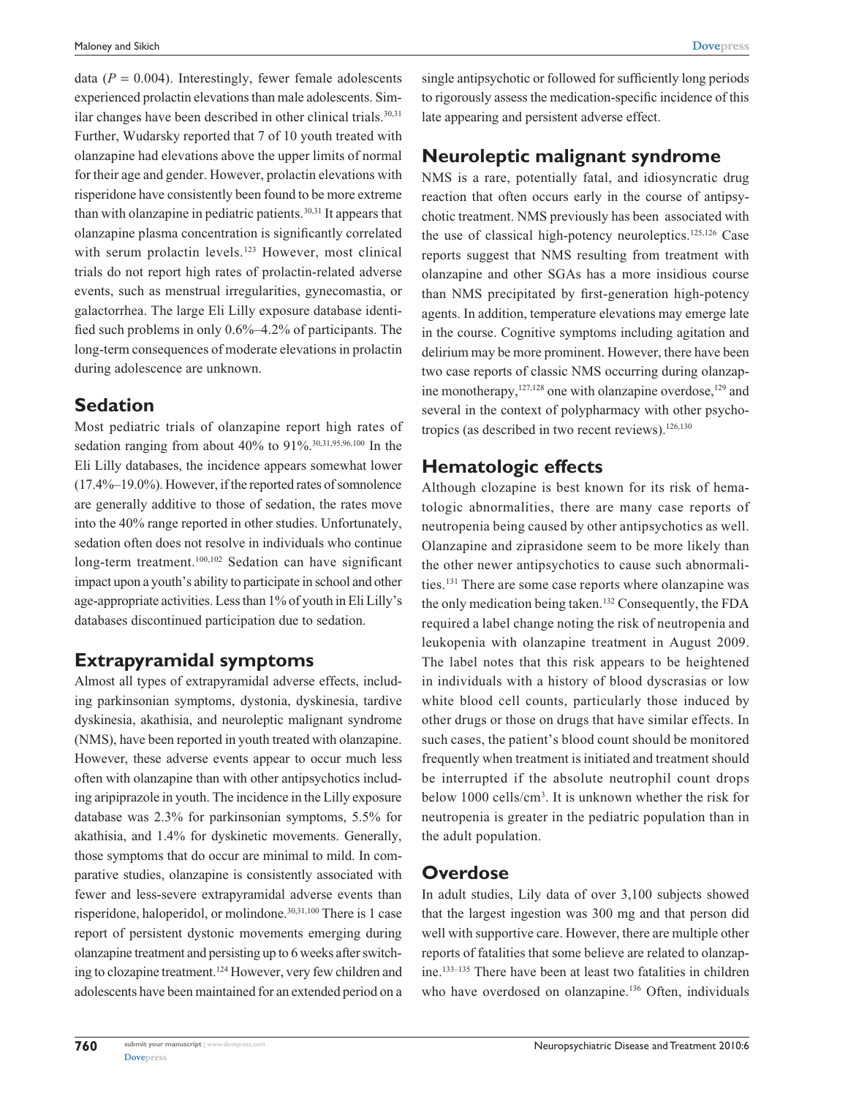data  $(P = 0.004)$ . Interestingly, fewer female adolescents experienced prolactin elevations than male adolescents. Similar changes have been described in other clinical trials.<sup>30,31</sup> Further, Wudarsky reported that 7 of 10 youth treated with olanzapine had elevations above the upper limits of normal for their age and gender. However, prolactin elevations with risperidone have consistently been found to be more extreme than with olanzapine in pediatric patients. $30,31$  It appears that olanzapine plasma concentration is significantly correlated with serum prolactin levels.<sup>123</sup> However, most clinical trials do not report high rates of prolactin-related adverse events, such as menstrual irregularities, gynecomastia, or galactorrhea. The large Eli Lilly exposure database identified such problems in only 0.6%–4.2% of participants. The long-term consequences of moderate elevations in prolactin during adolescence are unknown.

# **Sedation**

Most pediatric trials of olanzapine report high rates of sedation ranging from about 40% to 91%.30,31,95,96,100 In the Eli Lilly databases, the incidence appears somewhat lower (17.4%–19.0%). However, if the reported rates of somnolence are generally additive to those of sedation, the rates move into the 40% range reported in other studies. Unfortunately, sedation often does not resolve in individuals who continue long-term treatment.<sup>100,102</sup> Sedation can have significant impact upon a youth's ability to participate in school and other age-appropriate activities. Less than 1% of youth in Eli Lilly's databases discontinued participation due to sedation.

# **Extrapyramidal symptoms**

Almost all types of extrapyramidal adverse effects, including parkinsonian symptoms, dystonia, dyskinesia, tardive dyskinesia, akathisia, and neuroleptic malignant syndrome (NMS), have been reported in youth treated with olanzapine. However, these adverse events appear to occur much less often with olanzapine than with other antipsychotics including aripiprazole in youth. The incidence in the Lilly exposure database was 2.3% for parkinsonian symptoms, 5.5% for akathisia, and 1.4% for dyskinetic movements. Generally, those symptoms that do occur are minimal to mild. In comparative studies, olanzapine is consistently associated with fewer and less-severe extrapyramidal adverse events than risperidone, haloperidol, or molindone.<sup>30,31,100</sup> There is 1 case report of persistent dystonic movements emerging during olanzapine treatment and persisting up to 6 weeks after switching to clozapine treatment.124 However, very few children and adolescents have been maintained for an extended period on a single antipsychotic or followed for sufficiently long periods to rigorously assess the medication-specific incidence of this late appearing and persistent adverse effect.

# **Neuroleptic malignant syndrome**

NMS is a rare, potentially fatal, and idiosyncratic drug reaction that often occurs early in the course of antipsychotic treatment. NMS previously has been associated with the use of classical high-potency neuroleptics.125,126 Case reports suggest that NMS resulting from treatment with olanzapine and other SGAs has a more insidious course than NMS precipitated by first-generation high-potency agents. In addition, temperature elevations may emerge late in the course. Cognitive symptoms including agitation and delirium may be more prominent. However, there have been two case reports of classic NMS occurring during olanzapine monotherapy,<sup>127,128</sup> one with olanzapine overdose,<sup>129</sup> and several in the context of polypharmacy with other psychotropics (as described in two recent reviews). $126,130$ 

## **Hematologic effects**

Although clozapine is best known for its risk of hematologic abnormalities, there are many case reports of neutropenia being caused by other antipsychotics as well. Olanzapine and ziprasidone seem to be more likely than the other newer antipsychotics to cause such abnormalities.131 There are some case reports where olanzapine was the only medication being taken.132 Consequently, the FDA required a label change noting the risk of neutropenia and leukopenia with olanzapine treatment in August 2009. The label notes that this risk appears to be heightened in individuals with a history of blood dyscrasias or low white blood cell counts, particularly those induced by other drugs or those on drugs that have similar effects. In such cases, the patient's blood count should be monitored frequently when treatment is initiated and treatment should be interrupted if the absolute neutrophil count drops below 1000 cells/cm3 . It is unknown whether the risk for neutropenia is greater in the pediatric population than in the adult population.

## **Overdose**

In adult studies, Lily data of over 3,100 subjects showed that the largest ingestion was 300 mg and that person did well with supportive care. However, there are multiple other reports of fatalities that some believe are related to olanzapine.133–135 There have been at least two fatalities in children who have overdosed on olanzapine.<sup>136</sup> Often, individuals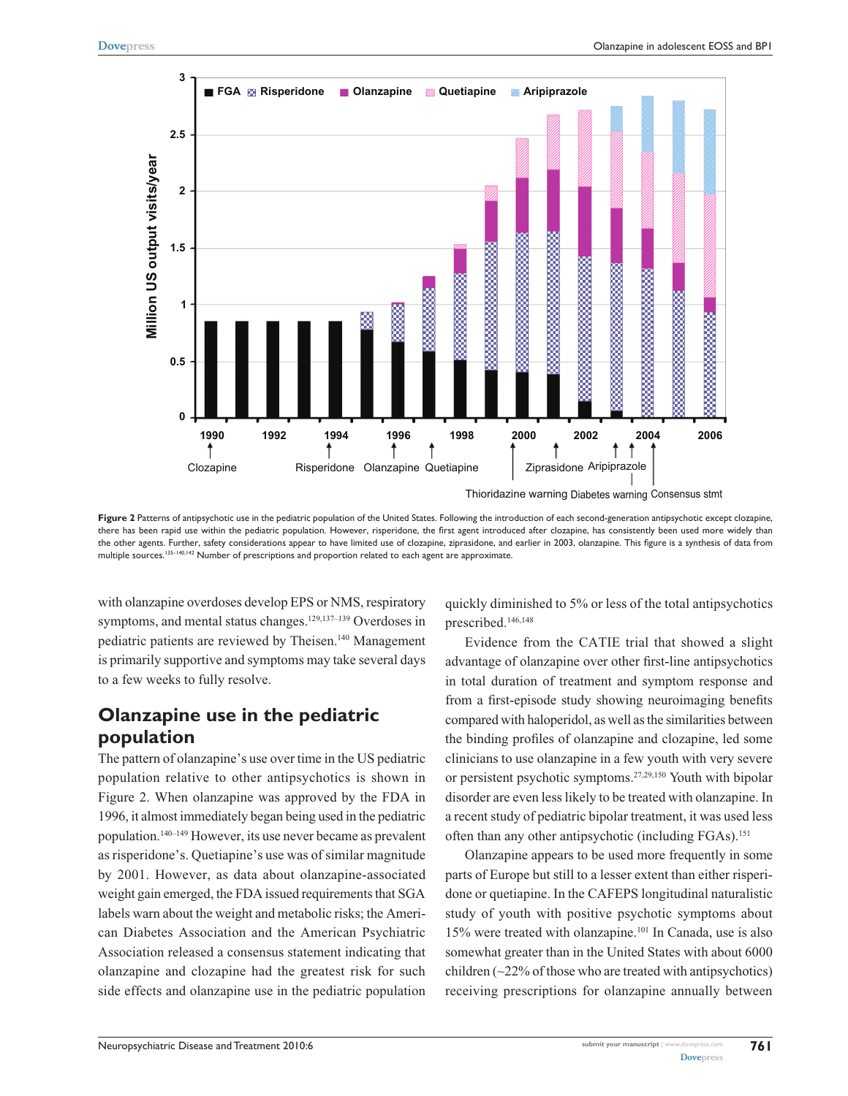

Thioridazine warning Diabetes warning Consensus stmt

**Figure 2** Patterns of antipsychotic use in the pediatric population of the United States. Following the introduction of each second-generation antipsychotic except clozapine, there has been rapid use within the pediatric population. However, risperidone, the first agent introduced after clozapine, has consistently been used more widely than the other agents. Further, safety considerations appear to have limited use of clozapine, ziprasidone, and earlier in 2003, olanzapine. This figure is a synthesis of data from multiple sources.135–140,142 Number of prescriptions and proportion related to each agent are approximate.

with olanzapine overdoses develop EPS or NMS, respiratory symptoms, and mental status changes.<sup>129,137–139</sup> Overdoses in pediatric patients are reviewed by Theisen.140 Management is primarily supportive and symptoms may take several days to a few weeks to fully resolve.

# **Olanzapine use in the pediatric population**

The pattern of olanzapine's use over time in the US pediatric population relative to other antipsychotics is shown in Figure 2. When olanzapine was approved by the FDA in 1996, it almost immediately began being used in the pediatric population.140–149 However, its use never became as prevalent as risperidone's. Quetiapine's use was of similar magnitude by 2001. However, as data about olanzapine-associated weight gain emerged, the FDA issued requirements that SGA labels warn about the weight and metabolic risks; the American Diabetes Association and the American Psychiatric Association released a consensus statement indicating that olanzapine and clozapine had the greatest risk for such side effects and olanzapine use in the pediatric population

quickly diminished to 5% or less of the total antipsychotics prescribed.146,148

Evidence from the CATIE trial that showed a slight advantage of olanzapine over other first-line antipsychotics in total duration of treatment and symptom response and from a first-episode study showing neuroimaging benefits compared with haloperidol, as well as the similarities between the binding profiles of olanzapine and clozapine, led some clinicians to use olanzapine in a few youth with very severe or persistent psychotic symptoms.27,29,150 Youth with bipolar disorder are even less likely to be treated with olanzapine. In a recent study of pediatric bipolar treatment, it was used less often than any other antipsychotic (including FGAs).<sup>151</sup>

Olanzapine appears to be used more frequently in some parts of Europe but still to a lesser extent than either risperidone or quetiapine. In the CAFEPS longitudinal naturalistic study of youth with positive psychotic symptoms about 15% were treated with olanzapine.101 In Canada, use is also somewhat greater than in the United States with about 6000 children (∼22% of those who are treated with antipsychotics) receiving prescriptions for olanzapine annually between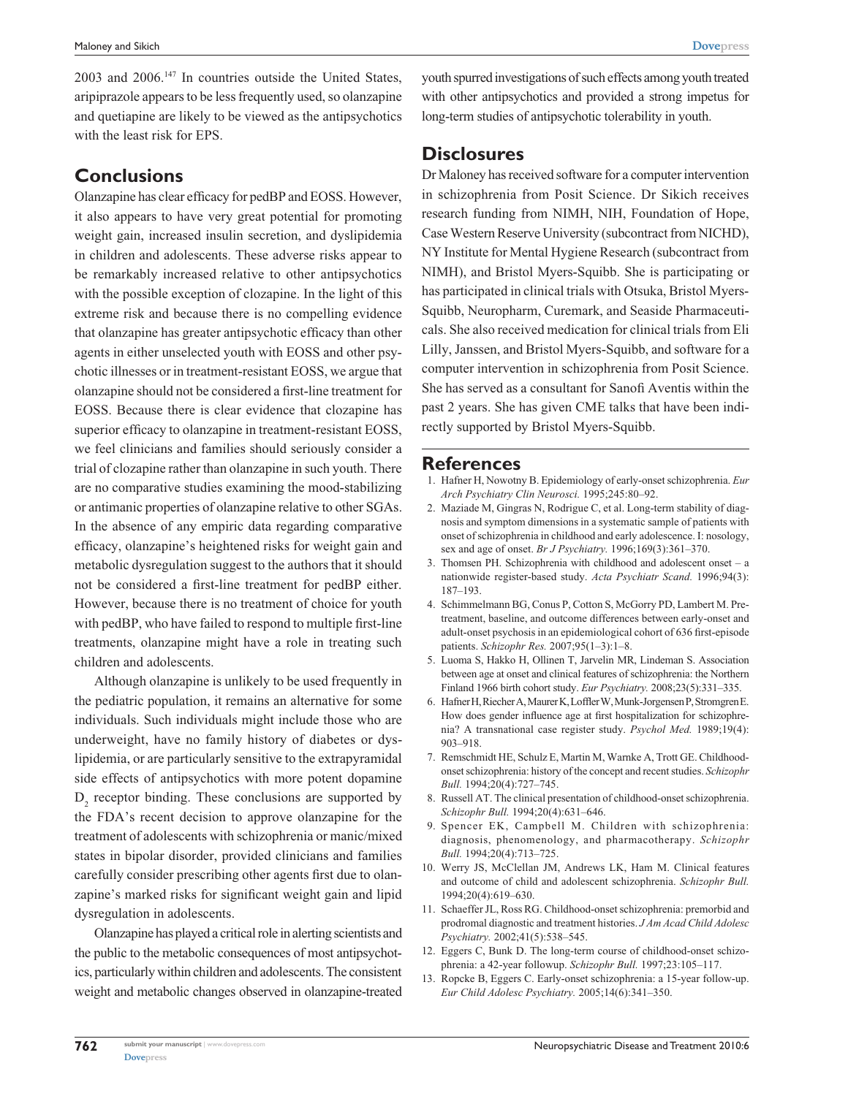2003 and 2006.147 In countries outside the United States, aripiprazole appears to be less frequently used, so olanzapine and quetiapine are likely to be viewed as the antipsychotics with the least risk for EPS.

# **Conclusions**

Olanzapine has clear efficacy for pedBP and EOSS. However, it also appears to have very great potential for promoting weight gain, increased insulin secretion, and dyslipidemia in children and adolescents. These adverse risks appear to be remarkably increased relative to other antipsychotics with the possible exception of clozapine. In the light of this extreme risk and because there is no compelling evidence that olanzapine has greater antipsychotic efficacy than other agents in either unselected youth with EOSS and other psychotic illnesses or in treatment-resistant EOSS, we argue that olanzapine should not be considered a first-line treatment for EOSS. Because there is clear evidence that clozapine has superior efficacy to olanzapine in treatment-resistant EOSS, we feel clinicians and families should seriously consider a trial of clozapine rather than olanzapine in such youth. There are no comparative studies examining the mood-stabilizing or antimanic properties of olanzapine relative to other SGAs. In the absence of any empiric data regarding comparative efficacy, olanzapine's heightened risks for weight gain and metabolic dysregulation suggest to the authors that it should not be considered a first-line treatment for pedBP either. However, because there is no treatment of choice for youth with pedBP, who have failed to respond to multiple first-line treatments, olanzapine might have a role in treating such children and adolescents.

Although olanzapine is unlikely to be used frequently in the pediatric population, it remains an alternative for some individuals. Such individuals might include those who are underweight, have no family history of diabetes or dyslipidemia, or are particularly sensitive to the extrapyramidal side effects of antipsychotics with more potent dopamine  $D_2$  receptor binding. These conclusions are supported by the FDA's recent decision to approve olanzapine for the treatment of adolescents with schizophrenia or manic/mixed states in bipolar disorder, provided clinicians and families carefully consider prescribing other agents first due to olanzapine's marked risks for significant weight gain and lipid dysregulation in adolescents.

Olanzapine has played a critical role in alerting scientists and the public to the metabolic consequences of most antipsychotics, particularly within children and adolescents. The consistent weight and metabolic changes observed in olanzapine-treated youth spurred investigations of such effects among youth treated with other antipsychotics and provided a strong impetus for long-term studies of antipsychotic tolerability in youth.

#### **Disclosures**

Dr Maloney has received software for a computer intervention in schizophrenia from Posit Science. Dr Sikich receives research funding from NIMH, NIH, Foundation of Hope, Case Western Reserve University (subcontract from NICHD), NY Institute for Mental Hygiene Research (subcontract from NIMH), and Bristol Myers-Squibb. She is participating or has participated in clinical trials with Otsuka, Bristol Myers-Squibb, Neuropharm, Curemark, and Seaside Pharmaceuticals. She also received medication for clinical trials from Eli Lilly, Janssen, and Bristol Myers-Squibb, and software for a computer intervention in schizophrenia from Posit Science. She has served as a consultant for Sanofi Aventis within the past 2 years. She has given CME talks that have been indirectly supported by Bristol Myers-Squibb.

#### **References**

- 1. Hafner H, Nowotny B. Epidemiology of early-onset schizophrenia. *Eur Arch Psychiatry Clin Neurosci.* 1995;245:80–92.
- 2. Maziade M, Gingras N, Rodrigue C, et al. Long-term stability of diagnosis and symptom dimensions in a systematic sample of patients with onset of schizophrenia in childhood and early adolescence. I: nosology, sex and age of onset. *Br J Psychiatry.* 1996;169(3):361–370.
- 3. Thomsen PH. Schizophrenia with childhood and adolescent onset a nationwide register-based study. *Acta Psychiatr Scand.* 1996;94(3): 187–193.
- 4. Schimmelmann BG, Conus P, Cotton S, McGorry PD, Lambert M. Pretreatment, baseline, and outcome differences between early-onset and adult-onset psychosis in an epidemiological cohort of 636 first-episode patients. *Schizophr Res.* 2007;95(1–3):1–8.
- 5. Luoma S, Hakko H, Ollinen T, Jarvelin MR, Lindeman S. Association between age at onset and clinical features of schizophrenia: the Northern Finland 1966 birth cohort study. *Eur Psychiatry.* 2008;23(5):331–335.
- 6. Hafner H, Riecher A, Maurer K, Loffler W, Munk-Jorgensen P, Stromgren E. How does gender influence age at first hospitalization for schizophrenia? A transnational case register study. *Psychol Med.* 1989;19(4): 903–918.
- 7. Remschmidt HE, Schulz E, Martin M, Warnke A, Trott GE. Childhoodonset schizophrenia: history of the concept and recent studies. *Schizophr Bull.* 1994;20(4):727–745.
- 8. Russell AT. The clinical presentation of childhood-onset schizophrenia. *Schizophr Bull.* 1994;20(4):631–646.
- 9. Spencer EK, Campbell M. Children with schizophrenia: diagnosis, phenomenology, and pharmacotherapy. *Schizophr Bull.* 1994;20(4):713–725.
- 10. Werry JS, McClellan JM, Andrews LK, Ham M. Clinical features and outcome of child and adolescent schizophrenia. *Schizophr Bull.* 1994;20(4):619–630.
- 11. Schaeffer JL, Ross RG. Childhood-onset schizophrenia: premorbid and prodromal diagnostic and treatment histories. *J Am Acad Child Adolesc Psychiatry.* 2002;41(5):538–545.
- 12. Eggers C, Bunk D. The long-term course of childhood-onset schizophrenia: a 42-year followup. *Schizophr Bull.* 1997;23:105–117.
- 13. Ropcke B, Eggers C. Early-onset schizophrenia: a 15-year follow-up. *Eur Child Adolesc Psychiatry.* 2005;14(6):341–350.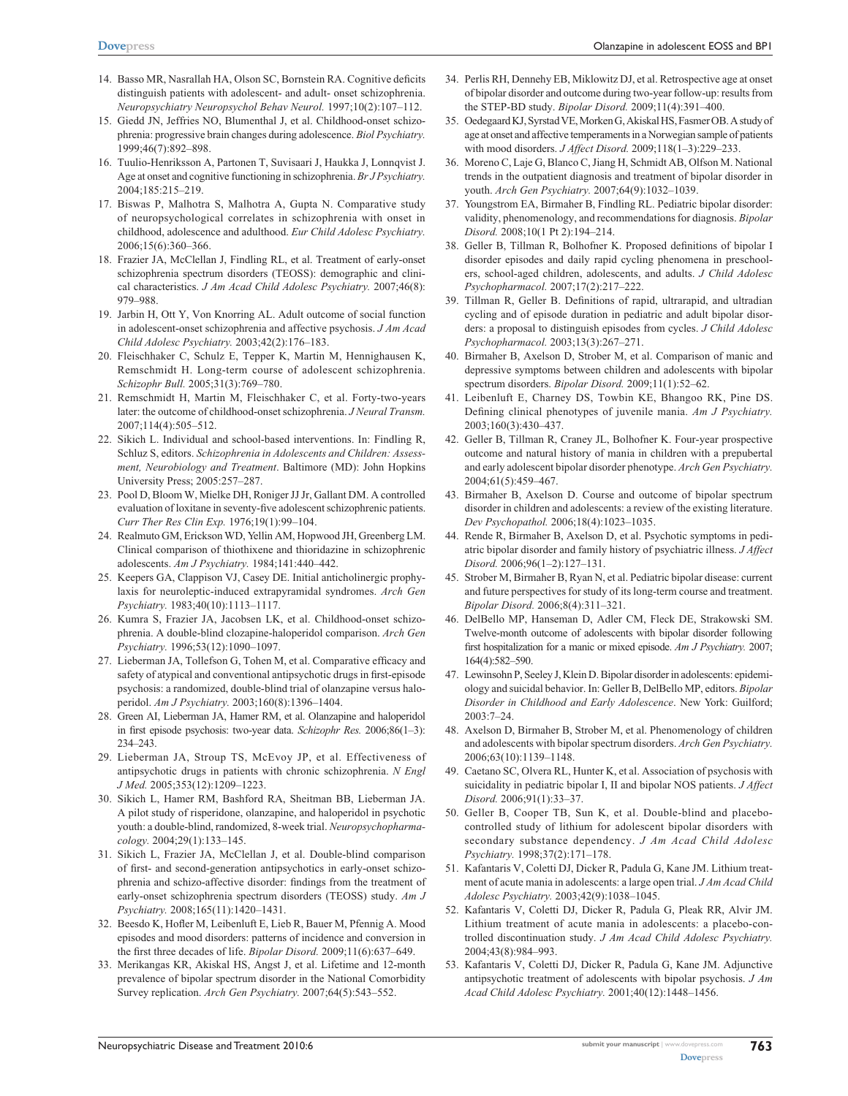- 14. Basso MR, Nasrallah HA, Olson SC, Bornstein RA. Cognitive deficits distinguish patients with adolescent- and adult- onset schizophrenia. *Neuropsychiatry Neuropsychol Behav Neurol.* 1997;10(2):107–112.
- 15. Giedd JN, Jeffries NO, Blumenthal J, et al. Childhood-onset schizophrenia: progressive brain changes during adolescence. *Biol Psychiatry.* 1999;46(7):892–898.
- 16. Tuulio-Henriksson A, Partonen T, Suvisaari J, Haukka J, Lonnqvist J. Age at onset and cognitive functioning in schizophrenia. *Br J Psychiatry.* 2004;185:215–219.
- 17. Biswas P, Malhotra S, Malhotra A, Gupta N. Comparative study of neuropsychological correlates in schizophrenia with onset in childhood, adolescence and adulthood. *Eur Child Adolesc Psychiatry.* 2006;15(6):360–366.
- 18. Frazier JA, McClellan J, Findling RL, et al. Treatment of early-onset schizophrenia spectrum disorders (TEOSS): demographic and clinical characteristics. *J Am Acad Child Adolesc Psychiatry.* 2007;46(8): 979–988.
- 19. Jarbin H, Ott Y, Von Knorring AL. Adult outcome of social function in adolescent-onset schizophrenia and affective psychosis. *J Am Acad Child Adolesc Psychiatry.* 2003;42(2):176–183.
- 20. Fleischhaker C, Schulz E, Tepper K, Martin M, Hennighausen K, Remschmidt H. Long-term course of adolescent schizophrenia. *Schizophr Bull.* 2005;31(3):769–780.
- 21. Remschmidt H, Martin M, Fleischhaker C, et al. Forty-two-years later: the outcome of childhood-onset schizophrenia. *J Neural Transm.* 2007;114(4):505–512.
- 22. Sikich L. Individual and school-based interventions. In: Findling R, Schluz S, editors. *Schizophrenia in Adolescents and Children: Assessment, Neurobiology and Treatment*. Baltimore (MD): John Hopkins University Press; 2005:257–287.
- 23. Pool D, Bloom W, Mielke DH, Roniger JJ Jr, Gallant DM. A controlled evaluation of loxitane in seventy-five adolescent schizophrenic patients. *Curr Ther Res Clin Exp.* 1976;19(1):99–104.
- 24. Realmuto GM, Erickson WD, Yellin AM, Hopwood JH, Greenberg LM. Clinical comparison of thiothixene and thioridazine in schizophrenic adolescents. *Am J Psychiatry.* 1984;141:440–442.
- 25. Keepers GA, Clappison VJ, Casey DE. Initial anticholinergic prophylaxis for neuroleptic-induced extrapyramidal syndromes. *Arch Gen Psychiatry.* 1983;40(10):1113–1117.
- 26. Kumra S, Frazier JA, Jacobsen LK, et al. Childhood-onset schizophrenia. A double-blind clozapine-haloperidol comparison. *Arch Gen Psychiatry.* 1996;53(12):1090–1097.
- 27. Lieberman JA, Tollefson G, Tohen M, et al. Comparative efficacy and safety of atypical and conventional antipsychotic drugs in first-episode psychosis: a randomized, double-blind trial of olanzapine versus haloperidol. *Am J Psychiatry.* 2003;160(8):1396–1404.
- 28. Green AI, Lieberman JA, Hamer RM, et al. Olanzapine and haloperidol in first episode psychosis: two-year data. *Schizophr Res.* 2006;86(1–3): 234–243.
- 29. Lieberman JA, Stroup TS, McEvoy JP, et al. Effectiveness of antipsychotic drugs in patients with chronic schizophrenia. *N Engl J Med.* 2005;353(12):1209–1223.
- 30. Sikich L, Hamer RM, Bashford RA, Sheitman BB, Lieberman JA. A pilot study of risperidone, olanzapine, and haloperidol in psychotic youth: a double-blind, randomized, 8-week trial. *Neuropsychopharmacology.* 2004;29(1):133–145.
- 31. Sikich L, Frazier JA, McClellan J, et al. Double-blind comparison of first- and second-generation antipsychotics in early-onset schizophrenia and schizo-affective disorder: findings from the treatment of early-onset schizophrenia spectrum disorders (TEOSS) study. *Am J Psychiatry.* 2008;165(11):1420–1431.
- 32. Beesdo K, Hofler M, Leibenluft E, Lieb R, Bauer M, Pfennig A. Mood episodes and mood disorders: patterns of incidence and conversion in the first three decades of life. *Bipolar Disord.* 2009;11(6):637–649.
- 33. Merikangas KR, Akiskal HS, Angst J, et al. Lifetime and 12-month prevalence of bipolar spectrum disorder in the National Comorbidity Survey replication. *Arch Gen Psychiatry.* 2007;64(5):543–552.
- 34. Perlis RH, Dennehy EB, Miklowitz DJ, et al. Retrospective age at onset of bipolar disorder and outcome during two-year follow-up: results from the STEP-BD study. *Bipolar Disord.* 2009;11(4):391–400.
- 35. Oedegaard KJ, Syrstad VE, Morken G, Akiskal HS, Fasmer OB. A study of age at onset and affective temperaments in a Norwegian sample of patients with mood disorders. *J Affect Disord.* 2009;118(1–3):229–233.
- 36. Moreno C, Laje G, Blanco C, Jiang H, Schmidt AB, Olfson M. National trends in the outpatient diagnosis and treatment of bipolar disorder in youth. *Arch Gen Psychiatry.* 2007;64(9):1032–1039.
- 37. Youngstrom EA, Birmaher B, Findling RL. Pediatric bipolar disorder: validity, phenomenology, and recommendations for diagnosis. *Bipolar Disord.* 2008;10(1 Pt 2):194–214.
- 38. Geller B, Tillman R, Bolhofner K. Proposed definitions of bipolar I disorder episodes and daily rapid cycling phenomena in preschoolers, school-aged children, adolescents, and adults. *J Child Adolesc Psychopharmacol.* 2007;17(2):217–222.
- 39. Tillman R, Geller B. Definitions of rapid, ultrarapid, and ultradian cycling and of episode duration in pediatric and adult bipolar disorders: a proposal to distinguish episodes from cycles. *J Child Adolesc Psychopharmacol.* 2003;13(3):267–271.
- 40. Birmaher B, Axelson D, Strober M, et al. Comparison of manic and depressive symptoms between children and adolescents with bipolar spectrum disorders. *Bipolar Disord.* 2009;11(1):52–62.
- 41. Leibenluft E, Charney DS, Towbin KE, Bhangoo RK, Pine DS. Defining clinical phenotypes of juvenile mania. *Am J Psychiatry.* 2003;160(3):430–437.
- 42. Geller B, Tillman R, Craney JL, Bolhofner K. Four-year prospective outcome and natural history of mania in children with a prepubertal and early adolescent bipolar disorder phenotype. *Arch Gen Psychiatry.* 2004;61(5):459–467.
- 43. Birmaher B, Axelson D. Course and outcome of bipolar spectrum disorder in children and adolescents: a review of the existing literature. *Dev Psychopathol.* 2006;18(4):1023–1035.
- 44. Rende R, Birmaher B, Axelson D, et al. Psychotic symptoms in pediatric bipolar disorder and family history of psychiatric illness. *J Affect Disord.* 2006;96(1–2):127–131.
- 45. Strober M, Birmaher B, Ryan N, et al. Pediatric bipolar disease: current and future perspectives for study of its long-term course and treatment. *Bipolar Disord.* 2006;8(4):311–321.
- 46. DelBello MP, Hanseman D, Adler CM, Fleck DE, Strakowski SM. Twelve-month outcome of adolescents with bipolar disorder following first hospitalization for a manic or mixed episode. *Am J Psychiatry.* 2007; 164(4):582–590.
- 47. Lewinsohn P, Seeley J, Klein D. Bipolar disorder in adolescents: epidemiology and suicidal behavior. In: Geller B, DelBello MP, editors. *Bipolar Disorder in Childhood and Early Adolescence*. New York: Guilford; 2003:7–24.
- 48. Axelson D, Birmaher B, Strober M, et al. Phenomenology of children and adolescents with bipolar spectrum disorders. *Arch Gen Psychiatry.* 2006;63(10):1139–1148.
- 49. Caetano SC, Olvera RL, Hunter K, et al. Association of psychosis with suicidality in pediatric bipolar I, II and bipolar NOS patients. *J Affect Disord.* 2006;91(1):33–37.
- 50. Geller B, Cooper TB, Sun K, et al. Double-blind and placebocontrolled study of lithium for adolescent bipolar disorders with secondary substance dependency. *J Am Acad Child Adolesc Psychiatry.* 1998;37(2):171–178.
- 51. Kafantaris V, Coletti DJ, Dicker R, Padula G, Kane JM. Lithium treatment of acute mania in adolescents: a large open trial. *J Am Acad Child Adolesc Psychiatry.* 2003;42(9):1038–1045.
- 52. Kafantaris V, Coletti DJ, Dicker R, Padula G, Pleak RR, Alvir JM. Lithium treatment of acute mania in adolescents: a placebo-controlled discontinuation study. *J Am Acad Child Adolesc Psychiatry.* 2004;43(8):984–993.
- 53. Kafantaris V, Coletti DJ, Dicker R, Padula G, Kane JM. Adjunctive antipsychotic treatment of adolescents with bipolar psychosis. *J Am Acad Child Adolesc Psychiatry.* 2001;40(12):1448–1456.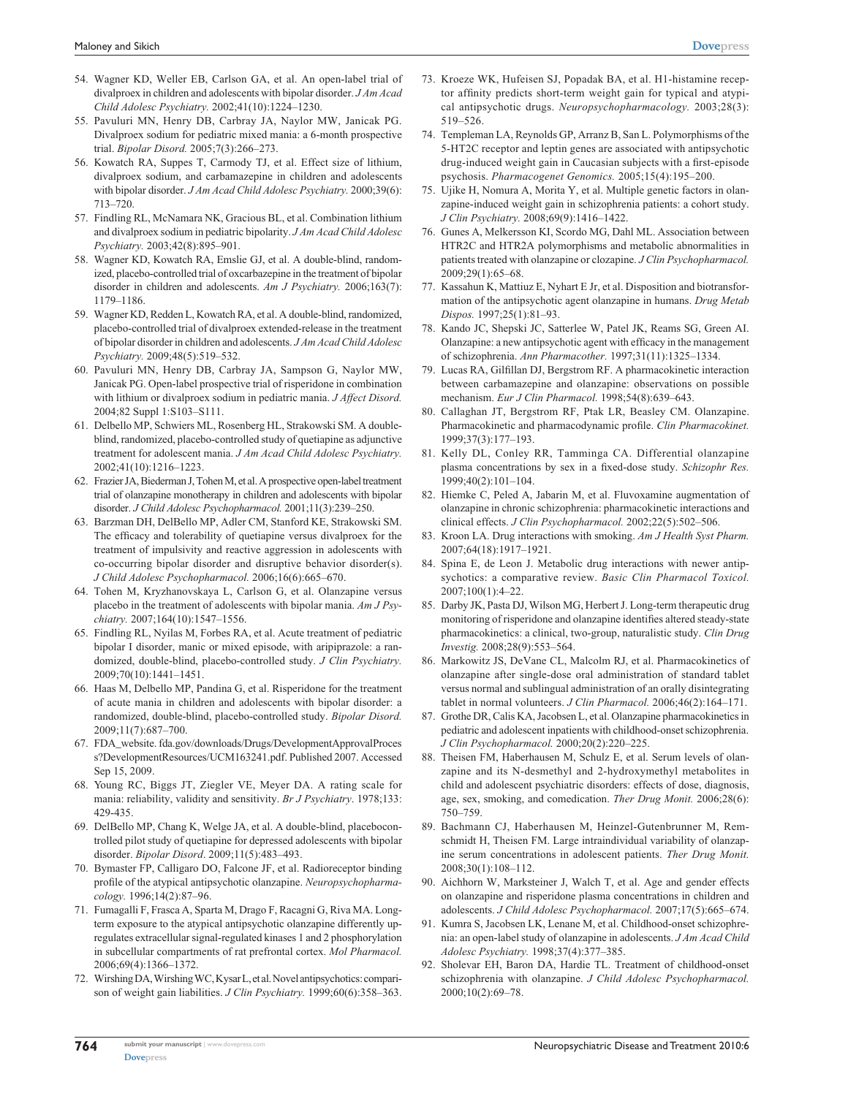- 54. Wagner KD, Weller EB, Carlson GA, et al. An open-label trial of divalproex in children and adolescents with bipolar disorder. *J Am Acad Child Adolesc Psychiatry.* 2002;41(10):1224–1230.
- 55. Pavuluri MN, Henry DB, Carbray JA, Naylor MW, Janicak PG. Divalproex sodium for pediatric mixed mania: a 6-month prospective trial. *Bipolar Disord.* 2005;7(3):266–273.
- 56. Kowatch RA, Suppes T, Carmody TJ, et al. Effect size of lithium, divalproex sodium, and carbamazepine in children and adolescents with bipolar disorder. *J Am Acad Child Adolesc Psychiatry.* 2000;39(6): 713–720.
- 57. Findling RL, McNamara NK, Gracious BL, et al. Combination lithium and divalproex sodium in pediatric bipolarity. *J Am Acad Child Adolesc Psychiatry.* 2003;42(8):895–901.
- 58. Wagner KD, Kowatch RA, Emslie GJ, et al. A double-blind, randomized, placebo-controlled trial of oxcarbazepine in the treatment of bipolar disorder in children and adolescents. *Am J Psychiatry.* 2006;163(7): 1179–1186.
- 59. Wagner KD, Redden L, Kowatch RA, et al. A double-blind, randomized, placebo-controlled trial of divalproex extended-release in the treatment of bipolar disorder in children and adolescents. *J Am Acad Child Adolesc Psychiatry.* 2009;48(5):519–532.
- 60. Pavuluri MN, Henry DB, Carbray JA, Sampson G, Naylor MW, Janicak PG. Open-label prospective trial of risperidone in combination with lithium or divalproex sodium in pediatric mania. *J Affect Disord.* 2004;82 Suppl 1:S103–S111.
- 61. Delbello MP, Schwiers ML, Rosenberg HL, Strakowski SM. A doubleblind, randomized, placebo-controlled study of quetiapine as adjunctive treatment for adolescent mania. *J Am Acad Child Adolesc Psychiatry.* 2002;41(10):1216–1223.
- 62. Frazier JA, Biederman J, Tohen M, et al. A prospective open-label treatment trial of olanzapine monotherapy in children and adolescents with bipolar disorder. *J Child Adolesc Psychopharmacol.* 2001;11(3):239–250.
- 63. Barzman DH, DelBello MP, Adler CM, Stanford KE, Strakowski SM. The efficacy and tolerability of quetiapine versus divalproex for the treatment of impulsivity and reactive aggression in adolescents with co-occurring bipolar disorder and disruptive behavior disorder(s). *J Child Adolesc Psychopharmacol.* 2006;16(6):665–670.
- 64. Tohen M, Kryzhanovskaya L, Carlson G, et al. Olanzapine versus placebo in the treatment of adolescents with bipolar mania. *Am J Psychiatry.* 2007;164(10):1547–1556.
- 65. Findling RL, Nyilas M, Forbes RA, et al. Acute treatment of pediatric bipolar I disorder, manic or mixed episode, with aripiprazole: a randomized, double-blind, placebo-controlled study. *J Clin Psychiatry.* 2009;70(10):1441–1451.
- 66. Haas M, Delbello MP, Pandina G, et al. Risperidone for the treatment of acute mania in children and adolescents with bipolar disorder: a randomized, double-blind, placebo-controlled study. *Bipolar Disord.* 2009;11(7):687–700.
- 67. FDA\_website. fda.gov/downloads/Drugs/DevelopmentApprovalProces s?DevelopmentResources/UCM163241.pdf. Published 2007. Accessed Sep 15, 2009.
- 68. Young RC, Biggs JT, Ziegler VE, Meyer DA. A rating scale for mania: reliability, validity and sensitivity. *Br J Psychiatry*. 1978;133: 429-435.
- 69. DelBello MP, Chang K, Welge JA, et al. A double-blind, placebocontrolled pilot study of quetiapine for depressed adolescents with bipolar disorder. *Bipolar Disord*. 2009;11(5):483–493.
- 70. Bymaster FP, Calligaro DO, Falcone JF, et al. Radioreceptor binding profile of the atypical antipsychotic olanzapine. *Neuropsychopharmacology.* 1996;14(2):87–96.
- 71. Fumagalli F, Frasca A, Sparta M, Drago F, Racagni G, Riva MA. Longterm exposure to the atypical antipsychotic olanzapine differently upregulates extracellular signal-regulated kinases 1 and 2 phosphorylation in subcellular compartments of rat prefrontal cortex. *Mol Pharmacol.* 2006;69(4):1366–1372.
- 72. Wirshing DA, Wirshing WC, Kysar L, etal. Novel antipsychotics: comparison of weight gain liabilities. *J Clin Psychiatry.* 1999;60(6):358–363.
- 73. Kroeze WK, Hufeisen SJ, Popadak BA, et al. H1-histamine receptor affinity predicts short-term weight gain for typical and atypical antipsychotic drugs. *Neuropsychopharmacology.* 2003;28(3): 519–526.
- 74. Templeman LA, Reynolds GP, Arranz B, San L. Polymorphisms of the 5-HT2C receptor and leptin genes are associated with antipsychotic drug-induced weight gain in Caucasian subjects with a first-episode psychosis. *Pharmacogenet Genomics.* 2005;15(4):195–200.
- 75. Ujike H, Nomura A, Morita Y, et al. Multiple genetic factors in olanzapine-induced weight gain in schizophrenia patients: a cohort study. *J Clin Psychiatry.* 2008;69(9):1416–1422.
- 76. Gunes A, Melkersson KI, Scordo MG, Dahl ML. Association between HTR2C and HTR2A polymorphisms and metabolic abnormalities in patients treated with olanzapine or clozapine. *J Clin Psychopharmacol.* 2009;29(1):65–68.
- 77. Kassahun K, Mattiuz E, Nyhart E Jr, et al. Disposition and biotransformation of the antipsychotic agent olanzapine in humans. *Drug Metab Dispos.* 1997;25(1):81–93.
- 78. Kando JC, Shepski JC, Satterlee W, Patel JK, Reams SG, Green AI. Olanzapine: a new antipsychotic agent with efficacy in the management of schizophrenia. *Ann Pharmacother.* 1997;31(11):1325–1334.
- 79. Lucas RA, Gilfillan DJ, Bergstrom RF. A pharmacokinetic interaction between carbamazepine and olanzapine: observations on possible mechanism. *Eur J Clin Pharmacol.* 1998;54(8):639–643.
- 80. Callaghan JT, Bergstrom RF, Ptak LR, Beasley CM. Olanzapine. Pharmacokinetic and pharmacodynamic profile. *Clin Pharmacokinet.* 1999;37(3):177–193.
- 81. Kelly DL, Conley RR, Tamminga CA. Differential olanzapine plasma concentrations by sex in a fixed-dose study. *Schizophr Res.* 1999;40(2):101–104.
- 82. Hiemke C, Peled A, Jabarin M, et al. Fluvoxamine augmentation of olanzapine in chronic schizophrenia: pharmacokinetic interactions and clinical effects. *J Clin Psychopharmacol.* 2002;22(5):502–506.
- 83. Kroon LA. Drug interactions with smoking. *Am J Health Syst Pharm.* 2007;64(18):1917–1921.
- 84. Spina E, de Leon J. Metabolic drug interactions with newer antipsychotics: a comparative review. *Basic Clin Pharmacol Toxicol.* 2007;100(1):4–22.
- 85. Darby JK, Pasta DJ, Wilson MG, Herbert J. Long-term therapeutic drug monitoring of risperidone and olanzapine identifies altered steady-state pharmacokinetics: a clinical, two-group, naturalistic study. *Clin Drug Investig.* 2008;28(9):553–564.
- 86. Markowitz JS, DeVane CL, Malcolm RJ, et al. Pharmacokinetics of olanzapine after single-dose oral administration of standard tablet versus normal and sublingual administration of an orally disintegrating tablet in normal volunteers. *J Clin Pharmacol.* 2006;46(2):164–171.
- 87. Grothe DR, Calis KA, Jacobsen L, et al. Olanzapine pharmacokinetics in pediatric and adolescent inpatients with childhood-onset schizophrenia. *J Clin Psychopharmacol.* 2000;20(2):220–225.
- 88. Theisen FM, Haberhausen M, Schulz E, et al. Serum levels of olanzapine and its N-desmethyl and 2-hydroxymethyl metabolites in child and adolescent psychiatric disorders: effects of dose, diagnosis, age, sex, smoking, and comedication. *Ther Drug Monit.* 2006;28(6): 750–759.
- 89. Bachmann CJ, Haberhausen M, Heinzel-Gutenbrunner M, Remschmidt H, Theisen FM. Large intraindividual variability of olanzapine serum concentrations in adolescent patients. *Ther Drug Monit.* 2008;30(1):108–112.
- 90. Aichhorn W, Marksteiner J, Walch T, et al. Age and gender effects on olanzapine and risperidone plasma concentrations in children and adolescents. *J Child Adolesc Psychopharmacol.* 2007;17(5):665–674.
- 91. Kumra S, Jacobsen LK, Lenane M, et al. Childhood-onset schizophrenia: an open-label study of olanzapine in adolescents. *J Am Acad Child Adolesc Psychiatry.* 1998;37(4):377–385.
- 92. Sholevar EH, Baron DA, Hardie TL. Treatment of childhood-onset schizophrenia with olanzapine. *J Child Adolesc Psychopharmacol.* 2000;10(2):69–78.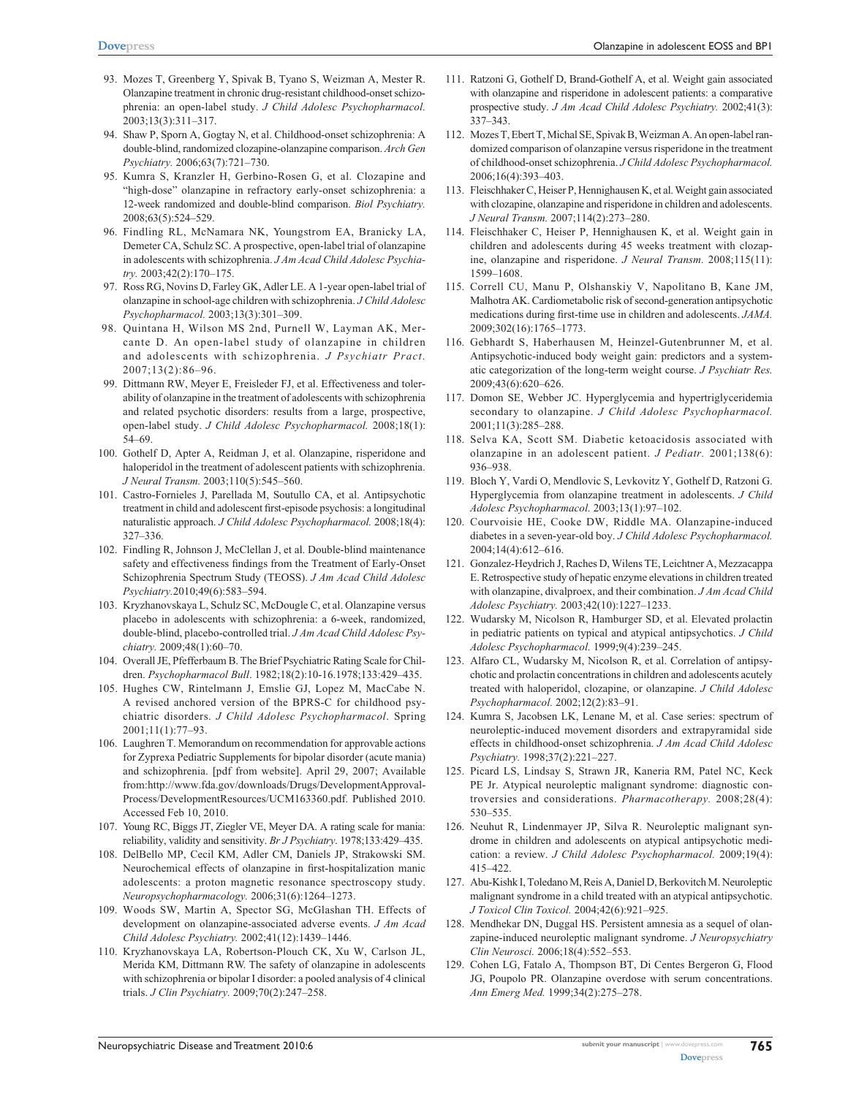- 93. Mozes T, Greenberg Y, Spivak B, Tyano S, Weizman A, Mester R. Olanzapine treatment in chronic drug-resistant childhood-onset schizophrenia: an open-label study. *J Child Adolesc Psychopharmacol.* 2003;13(3):311–317.
- 94. Shaw P, Sporn A, Gogtay N, et al. Childhood-onset schizophrenia: A double-blind, randomized clozapine-olanzapine comparison. *Arch Gen Psychiatry.* 2006;63(7):721–730.
- 95. Kumra S, Kranzler H, Gerbino-Rosen G, et al. Clozapine and "high-dose" olanzapine in refractory early-onset schizophrenia: a 12-week randomized and double-blind comparison. *Biol Psychiatry.* 2008;63(5):524–529.
- 96. Findling RL, McNamara NK, Youngstrom EA, Branicky LA, Demeter CA, Schulz SC. A prospective, open-label trial of olanzapine in adolescents with schizophrenia. *J Am Acad Child Adolesc Psychiatry.* 2003;42(2):170–175.
- 97. Ross RG, Novins D, Farley GK, Adler LE. A 1-year open-label trial of olanzapine in school-age children with schizophrenia. *J Child Adolesc Psychopharmacol.* 2003;13(3):301–309.
- 98. Quintana H, Wilson MS 2nd, Purnell W, Layman AK, Mercante D. An open-label study of olanzapine in children and adolescents with schizophrenia. *J Psychiatr Pract.* 2007;13(2):86–96.
- 99. Dittmann RW, Meyer E, Freisleder FJ, et al. Effectiveness and tolerability of olanzapine in the treatment of adolescents with schizophrenia and related psychotic disorders: results from a large, prospective, open-label study. *J Child Adolesc Psychopharmacol.* 2008;18(1): 54–69.
- 100. Gothelf D, Apter A, Reidman J, et al. Olanzapine, risperidone and haloperidol in the treatment of adolescent patients with schizophrenia. *J Neural Transm.* 2003;110(5):545–560.
- 101. Castro-Fornieles J, Parellada M, Soutullo CA, et al. Antipsychotic treatment in child and adolescent first-episode psychosis: a longitudinal naturalistic approach. *J Child Adolesc Psychopharmacol.* 2008;18(4): 327–336.
- 102. Findling R, Johnson J, McClellan J, et al. Double-blind maintenance safety and effectiveness findings from the Treatment of Early-Onset Schizophrenia Spectrum Study (TEOSS). *J Am Acad Child Adolesc Psychiatry.*2010;49(6):583–594.
- 103. Kryzhanovskaya L, Schulz SC, McDougle C, et al. Olanzapine versus placebo in adolescents with schizophrenia: a 6-week, randomized, double-blind, placebo-controlled trial. *J Am Acad Child Adolesc Psychiatry.* 2009;48(1):60–70.
- 104. Overall JE, Pfefferbaum B. The Brief Psychiatric Rating Scale for Children. *Psychopharmacol Bull*. 1982;18(2):10-16.1978;133:429–435.
- 105. Hughes CW, Rintelmann J, Emslie GJ, Lopez M, MacCabe N. A revised anchored version of the BPRS-C for childhood psychiatric disorders. *J Child Adolesc Psychopharmacol*. Spring 2001;11(1):77–93.
- 106. Laughren T. Memorandum on recommendation for approvable actions for Zyprexa Pediatric Supplements for bipolar disorder (acute mania) and schizophrenia. [pdf from website]. April 29, 2007; Available from:[http://www.fda.gov/downloads/Drugs/DevelopmentApproval-](http://www.fda.gov/downloads/Drugs/DevelopmentApprovalProcess/DevelopmentResources/UCM163360.pdf)[Process/DevelopmentResources/UCM163360.pdf.](http://www.fda.gov/downloads/Drugs/DevelopmentApprovalProcess/DevelopmentResources/UCM163360.pdf) Published 2010. Accessed Feb 10, 2010.
- 107. Young RC, Biggs JT, Ziegler VE, Meyer DA. A rating scale for mania: reliability, validity and sensitivity. *Br J Psychiatry*. 1978;133:429–435.
- 108. DelBello MP, Cecil KM, Adler CM, Daniels JP, Strakowski SM. Neurochemical effects of olanzapine in first-hospitalization manic adolescents: a proton magnetic resonance spectroscopy study. *Neuropsychopharmacology.* 2006;31(6):1264–1273.
- 109. Woods SW, Martin A, Spector SG, McGlashan TH. Effects of development on olanzapine-associated adverse events. *J Am Acad Child Adolesc Psychiatry.* 2002;41(12):1439–1446.
- 110. Kryzhanovskaya LA, Robertson-Plouch CK, Xu W, Carlson JL, Merida KM, Dittmann RW. The safety of olanzapine in adolescents with schizophrenia or bipolar I disorder: a pooled analysis of 4 clinical trials. *J Clin Psychiatry.* 2009;70(2):247–258.
- 111. Ratzoni G, Gothelf D, Brand-Gothelf A, et al. Weight gain associated with olanzapine and risperidone in adolescent patients: a comparative prospective study. *J Am Acad Child Adolesc Psychiatry.* 2002;41(3): 337–343.
- 112. Mozes T, Ebert T, Michal SE, Spivak B, Weizman A. An open-label randomized comparison of olanzapine versus risperidone in the treatment of childhood-onset schizophrenia. *J Child Adolesc Psychopharmacol.* 2006;16(4):393–403.
- 113. Fleischhaker C, Heiser P, Hennighausen K, et al. Weight gain associated with clozapine, olanzapine and risperidone in children and adolescents. *J Neural Transm.* 2007;114(2):273–280.
- 114. Fleischhaker C, Heiser P, Hennighausen K, et al. Weight gain in children and adolescents during 45 weeks treatment with clozapine, olanzapine and risperidone. *J Neural Transm.* 2008;115(11): 1599–1608.
- 115. Correll CU, Manu P, Olshanskiy V, Napolitano B, Kane JM, Malhotra AK. Cardiometabolic risk of second-generation antipsychotic medications during first-time use in children and adolescents. *JAMA.* 2009;302(16):1765–1773.
- 116. Gebhardt S, Haberhausen M, Heinzel-Gutenbrunner M, et al. Antipsychotic-induced body weight gain: predictors and a systematic categorization of the long-term weight course. *J Psychiatr Res.* 2009;43(6):620–626.
- 117. Domon SE, Webber JC. Hyperglycemia and hypertriglyceridemia secondary to olanzapine. *J Child Adolesc Psychopharmacol.* 2001;11(3):285–288.
- 118. Selva KA, Scott SM. Diabetic ketoacidosis associated with olanzapine in an adolescent patient. *J Pediatr.* 2001;138(6): 936–938.
- 119. Bloch Y, Vardi O, Mendlovic S, Levkovitz Y, Gothelf D, Ratzoni G. Hyperglycemia from olanzapine treatment in adolescents. *J Child Adolesc Psychopharmacol.* 2003;13(1):97–102.
- 120. Courvoisie HE, Cooke DW, Riddle MA. Olanzapine-induced diabetes in a seven-year-old boy. *J Child Adolesc Psychopharmacol.* 2004;14(4):612–616.
- 121. Gonzalez-Heydrich J, Raches D, Wilens TE, Leichtner A, Mezzacappa E. Retrospective study of hepatic enzyme elevations in children treated with olanzapine, divalproex, and their combination. *J Am Acad Child Adolesc Psychiatry.* 2003;42(10):1227–1233.
- 122. Wudarsky M, Nicolson R, Hamburger SD, et al. Elevated prolactin in pediatric patients on typical and atypical antipsychotics. *J Child Adolesc Psychopharmacol.* 1999;9(4):239–245.
- 123. Alfaro CL, Wudarsky M, Nicolson R, et al. Correlation of antipsychotic and prolactin concentrations in children and adolescents acutely treated with haloperidol, clozapine, or olanzapine. *J Child Adolesc Psychopharmacol.* 2002;12(2):83–91.
- 124. Kumra S, Jacobsen LK, Lenane M, et al. Case series: spectrum of neuroleptic-induced movement disorders and extrapyramidal side effects in childhood-onset schizophrenia. *J Am Acad Child Adolesc Psychiatry.* 1998;37(2):221–227.
- 125. Picard LS, Lindsay S, Strawn JR, Kaneria RM, Patel NC, Keck PE Jr. Atypical neuroleptic malignant syndrome: diagnostic controversies and considerations. *Pharmacotherapy.* 2008;28(4): 530–535.
- 126. Neuhut R, Lindenmayer JP, Silva R. Neuroleptic malignant syndrome in children and adolescents on atypical antipsychotic medication: a review. *J Child Adolesc Psychopharmacol.* 2009;19(4): 415–422.
- 127. Abu-Kishk I, Toledano M, Reis A, Daniel D, Berkovitch M. Neuroleptic malignant syndrome in a child treated with an atypical antipsychotic. *J Toxicol Clin Toxicol.* 2004;42(6):921–925.
- 128. Mendhekar DN, Duggal HS. Persistent amnesia as a sequel of olanzapine-induced neuroleptic malignant syndrome. *J Neuropsychiatry Clin Neurosci.* 2006;18(4):552–553.
- 129. Cohen LG, Fatalo A, Thompson BT, Di Centes Bergeron G, Flood JG, Poupolo PR. Olanzapine overdose with serum concentrations. *Ann Emerg Med.* 1999;34(2):275–278.